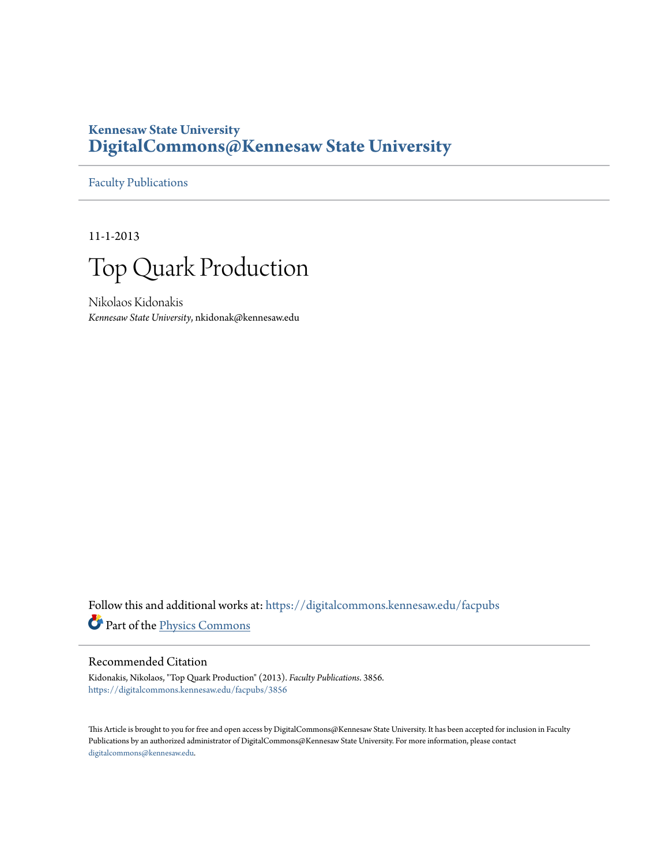# **Kennesaw State University [DigitalCommons@Kennesaw State University](https://digitalcommons.kennesaw.edu?utm_source=digitalcommons.kennesaw.edu%2Ffacpubs%2F3856&utm_medium=PDF&utm_campaign=PDFCoverPages)**

[Faculty Publications](https://digitalcommons.kennesaw.edu/facpubs?utm_source=digitalcommons.kennesaw.edu%2Ffacpubs%2F3856&utm_medium=PDF&utm_campaign=PDFCoverPages)

11-1-2013



Nikolaos Kidonakis *Kennesaw State University*, nkidonak@kennesaw.edu

Follow this and additional works at: [https://digitalcommons.kennesaw.edu/facpubs](https://digitalcommons.kennesaw.edu/facpubs?utm_source=digitalcommons.kennesaw.edu%2Ffacpubs%2F3856&utm_medium=PDF&utm_campaign=PDFCoverPages) Part of the [Physics Commons](http://network.bepress.com/hgg/discipline/193?utm_source=digitalcommons.kennesaw.edu%2Ffacpubs%2F3856&utm_medium=PDF&utm_campaign=PDFCoverPages)

## Recommended Citation

Kidonakis, Nikolaos, "Top Quark Production" (2013). *Faculty Publications*. 3856. [https://digitalcommons.kennesaw.edu/facpubs/3856](https://digitalcommons.kennesaw.edu/facpubs/3856?utm_source=digitalcommons.kennesaw.edu%2Ffacpubs%2F3856&utm_medium=PDF&utm_campaign=PDFCoverPages)

This Article is brought to you for free and open access by DigitalCommons@Kennesaw State University. It has been accepted for inclusion in Faculty Publications by an authorized administrator of DigitalCommons@Kennesaw State University. For more information, please contact [digitalcommons@kennesaw.edu.](mailto:digitalcommons@kennesaw.edu)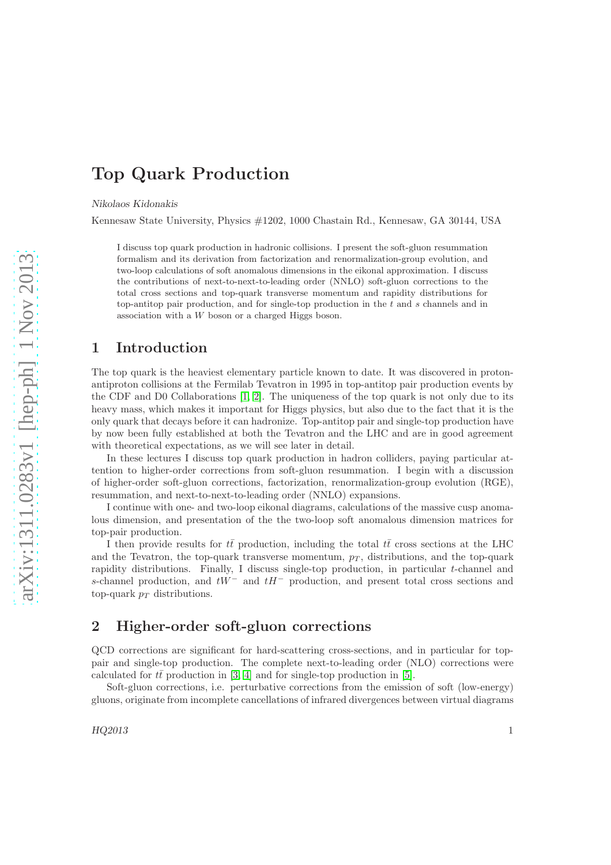# Top Quark Production

Nikolaos Kidonakis

Kennesaw State University, Physics #1202, 1000 Chastain Rd., Kennesaw, GA 30144, USA

I discuss top quark production in hadronic collisions. I present the soft-gluon resummation formalism and its derivation from factorization and renormalization-group evolution, and two-loop calculations of soft anomalous dimensions in the eikonal approximation. I discuss the contributions of next-to-next-to-leading order (NNLO) soft-gluon corrections to the total cross sections and top-quark transverse momentum and rapidity distributions for top-antitop pair production, and for single-top production in the t and s channels and in association with a W boson or a charged Higgs boson.

## 1 Introduction

The top quark is the heaviest elementary particle known to date. It was discovered in protonantiproton collisions at the Fermilab Tevatron in 1995 in top-antitop pair production events by the CDF and D0 Collaborations [\[1,](#page-28-0) [2\]](#page-28-1). The uniqueness of the top quark is not only due to its heavy mass, which makes it important for Higgs physics, but also due to the fact that it is the only quark that decays before it can hadronize. Top-antitop pair and single-top production have by now been fully established at both the Tevatron and the LHC and are in good agreement with theoretical expectations, as we will see later in detail.

In these lectures I discuss top quark production in hadron colliders, paying particular attention to higher-order corrections from soft-gluon resummation. I begin with a discussion of higher-order soft-gluon corrections, factorization, renormalization-group evolution (RGE), resummation, and next-to-next-to-leading order (NNLO) expansions.

I continue with one- and two-loop eikonal diagrams, calculations of the massive cusp anomalous dimension, and presentation of the the two-loop soft anomalous dimension matrices for top-pair production.

I then provide results for  $t\bar{t}$  production, including the total  $t\bar{t}$  cross sections at the LHC and the Tevatron, the top-quark transverse momentum,  $p<sub>T</sub>$ , distributions, and the top-quark rapidity distributions. Finally, I discuss single-top production, in particular t-channel and s-channel production, and  $tW^-$  and  $tH^-$  production, and present total cross sections and top-quark  $p_T$  distributions.

# 2 Higher-order soft-gluon corrections

QCD corrections are significant for hard-scattering cross-sections, and in particular for toppair and single-top production. The complete next-to-leading order (NLO) corrections were calculated for  $t\bar{t}$  production in [\[3,](#page-28-2) [4\]](#page-28-3) and for single-top production in [\[5\]](#page-28-4).

Soft-gluon corrections, i.e. perturbative corrections from the emission of soft (low-energy) gluons, originate from incomplete cancellations of infrared divergences between virtual diagrams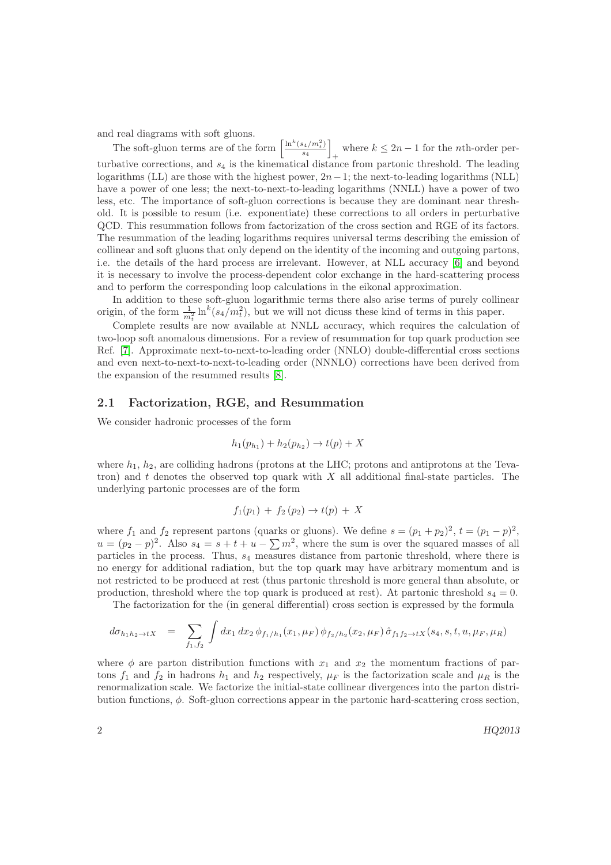and real diagrams with soft gluons.

The soft-gluon terms are of the form  $\left[\frac{\ln^k(s_4/m_t^2)}{s_1}\right]$  $\frac{s_4/m_t^2)}{s_4}$ where  $k \leq 2n - 1$  for the *n*th-order perturbative corrections, and  $s_4$  is the kinematical distance from partonic threshold. The leading logarithms (LL) are those with the highest power,  $2n-1$ ; the next-to-leading logarithms (NLL) have a power of one less; the next-to-next-to-leading logarithms (NNLL) have a power of two less, etc. The importance of soft-gluon corrections is because they are dominant near threshold. It is possible to resum (i.e. exponentiate) these corrections to all orders in perturbative QCD. This resummation follows from factorization of the cross section and RGE of its factors. The resummation of the leading logarithms requires universal terms describing the emission of collinear and soft gluons that only depend on the identity of the incoming and outgoing partons, i.e. the details of the hard process are irrelevant. However, at NLL accuracy [\[6\]](#page-28-5) and beyond it is necessary to involve the process-dependent color exchange in the hard-scattering process and to perform the corresponding loop calculations in the eikonal approximation.

In addition to these soft-gluon logarithmic terms there also arise terms of purely collinear origin, of the form  $\frac{1}{m_t^2} \ln^k(s_4/m_t^2)$ , but we will not dicuss these kind of terms in this paper.

Complete results are now available at NNLL accuracy, which requires the calculation of two-loop soft anomalous dimensions. For a review of resummation for top quark production see Ref. [\[7\]](#page-28-6). Approximate next-to-next-to-leading order (NNLO) double-differential cross sections and even next-to-next-to-next-to-leading order (NNNLO) corrections have been derived from the expansion of the resummed results [\[8\]](#page-28-7).

### 2.1 Factorization, RGE, and Resummation

We consider hadronic processes of the form

$$
h_1(p_{h_1}) + h_2(p_{h_2}) \to t(p) + X
$$

where  $h_1$ ,  $h_2$ , are colliding hadrons (protons at the LHC; protons and antiprotons at the Tevatron) and  $t$  denotes the observed top quark with  $X$  all additional final-state particles. The underlying partonic processes are of the form

$$
f_1(p_1) + f_2(p_2) \to t(p) + X
$$

where  $f_1$  and  $f_2$  represent partons (quarks or gluons). We define  $s = (p_1 + p_2)^2$ ,  $t = (p_1 - p)^2$ ,  $u = (p_2 - p)^2$ . Also  $s_4 = s + t + u - \sum m^2$ , where the sum is over the squared masses of all particles in the process. Thus, s<sup>4</sup> measures distance from partonic threshold, where there is no energy for additional radiation, but the top quark may have arbitrary momentum and is not restricted to be produced at rest (thus partonic threshold is more general than absolute, or production, threshold where the top quark is produced at rest). At partonic threshold  $s_4 = 0$ .

The factorization for the (in general differential) cross section is expressed by the formula

$$
d\sigma_{h_1h_2 \to tX} = \sum_{f_1, f_2} \int dx_1 dx_2 \, \phi_{f_1/h_1}(x_1, \mu_F) \, \phi_{f_2/h_2}(x_2, \mu_F) \, \hat{\sigma}_{f_1 f_2 \to tX}(s_4, s, t, u, \mu_F, \mu_R)
$$

where  $\phi$  are parton distribution functions with  $x_1$  and  $x_2$  the momentum fractions of partons  $f_1$  and  $f_2$  in hadrons  $h_1$  and  $h_2$  respectively,  $\mu_F$  is the factorization scale and  $\mu_R$  is the renormalization scale. We factorize the initial-state collinear divergences into the parton distribution functions,  $\phi$ . Soft-gluon corrections appear in the partonic hard-scattering cross section,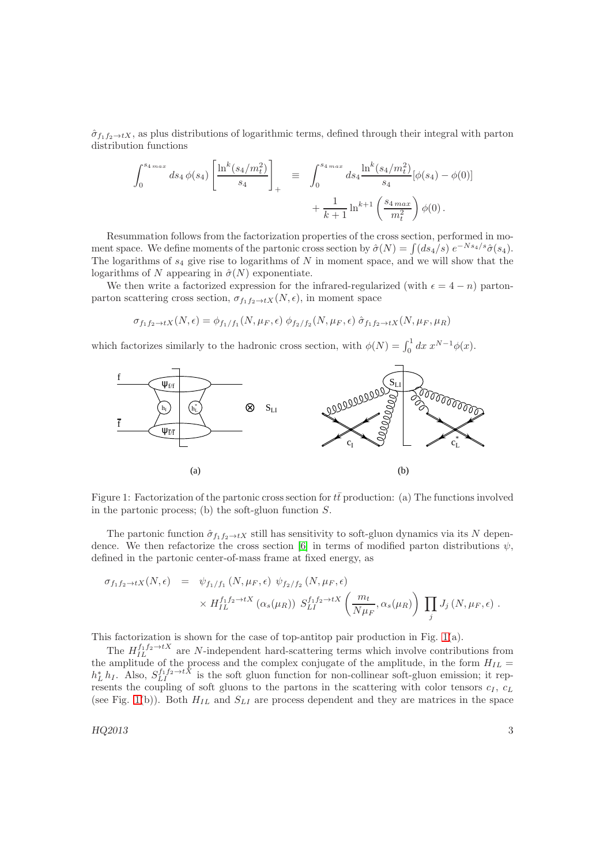$\hat{\sigma}_{f_1f_2\to tX}$ , as plus distributions of logarithmic terms, defined through their integral with parton distribution functions

$$
\int_0^{s_4 \, max} ds_4 \, \phi(s_4) \left[ \frac{\ln^k (s_4/m_t^2)}{s_4} \right]_+ \equiv \int_0^{s_4 \, max} ds_4 \frac{\ln^k (s_4/m_t^2)}{s_4} [\phi(s_4) - \phi(0)] + \frac{1}{k+1} \ln^{k+1} \left( \frac{s_4 \, max}{m_t^2} \right) \phi(0).
$$

Resummation follows from the factorization properties of the cross section, performed in moment space. We define moments of the partonic cross section by  $\hat{\sigma}(N) = \int (ds_4/s) e^{-Ns_4/s} \hat{\sigma}(s_4)$ . The logarithms of  $s_4$  give rise to logarithms of  $N$  in moment space, and we will show that the logarithms of N appearing in  $\hat{\sigma}(N)$  exponentiate.

We then write a factorized expression for the infrared-regularized (with  $\epsilon = 4 - n$ ) partonparton scattering cross section,  $\sigma_{f_1f_2\to tX}(N, \epsilon)$ , in moment space

$$
\sigma_{f_1 f_2 \to tX}(N, \epsilon) = \phi_{f_1/f_1}(N, \mu_F, \epsilon) \phi_{f_2/f_2}(N, \mu_F, \epsilon) \hat{\sigma}_{f_1 f_2 \to tX}(N, \mu_F, \mu_R)
$$

which factorizes similarly to the hadronic cross section, with  $\phi(N) = \int_0^1 dx x^{N-1} \phi(x)$ .



<span id="page-3-0"></span>Figure 1: Factorization of the partonic cross section for  $t\bar{t}$  production: (a) The functions involved in the partonic process; (b) the soft-gluon function  $S$ .

The partonic function  $\hat{\sigma}_{f_1f_2\to tX}$  still has sensitivity to soft-gluon dynamics via its N depen-dence. We then refactorize the cross section [\[6\]](#page-28-5) in terms of modified parton distributions  $\psi$ , defined in the partonic center-of-mass frame at fixed energy, as

$$
\sigma_{f_1 f_2 \to tX}(N, \epsilon) = \psi_{f_1/f_1}(N, \mu_F, \epsilon) \psi_{f_2/f_2}(N, \mu_F, \epsilon)
$$
  
 
$$
\times H_{IL}^{f_1 f_2 \to tX} (\alpha_s(\mu_R)) S_{LI}^{f_1 f_2 \to tX} \left( \frac{m_t}{N \mu_F}, \alpha_s(\mu_R) \right) \prod_j J_j(N, \mu_F, \epsilon) .
$$

This factorization is shown for the case of top-antitop pair production in Fig.  $1(a)$ .

The  $H_{IL}^{f_1f_2 \rightarrow tX}$  are N-independent hard-scattering terms which involve contributions from the amplitude of the process and the complex conjugate of the amplitude, in the form  $H_{IL}$  =  $h_L^* h_I$ . Also,  $S_{LI}^{f_1 f_2 \to t\bar{X}}$  is the soft gluon function for non-collinear soft-gluon emission; it represents the coupling of soft gluons to the partons in the scattering with color tensors  $c_I$ ,  $c_L$ (see Fig. [1\(](#page-3-0)b)). Both  $H_{IL}$  and  $S_{LI}$  are process dependent and they are matrices in the space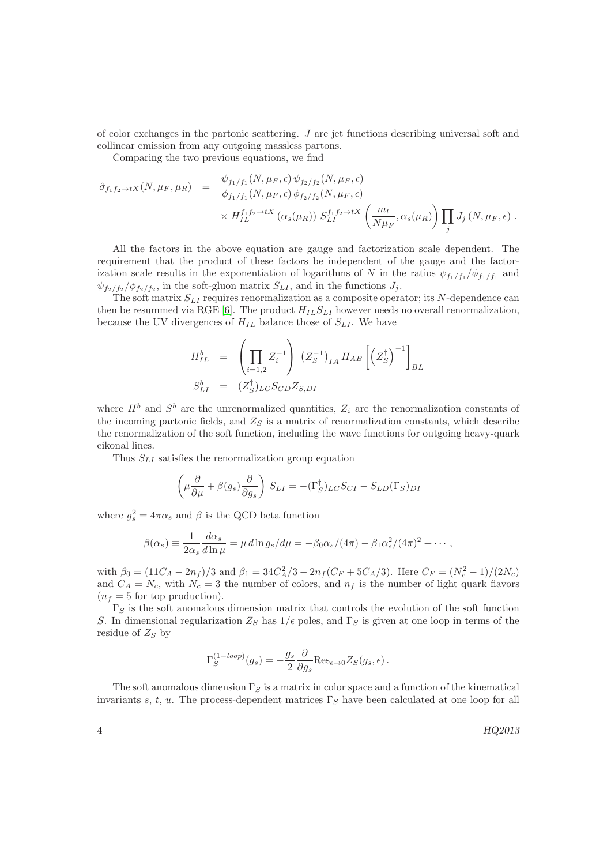of color exchanges in the partonic scattering.  $J$  are jet functions describing universal soft and collinear emission from any outgoing massless partons.

Comparing the two previous equations, we find

$$
\hat{\sigma}_{f_1 f_2 \to tX}(N, \mu_F, \mu_R) = \frac{\psi_{f_1/f_1}(N, \mu_F, \epsilon) \psi_{f_2/f_2}(N, \mu_F, \epsilon)}{\phi_{f_1/f_1}(N, \mu_F, \epsilon) \phi_{f_2/f_2}(N, \mu_F, \epsilon)} \times H_{IL}^{f_1 f_2 \to tX} \left( \alpha_s(\mu_R) \right) S_{LI}^{f_1 f_2 \to tX} \left( \frac{m_t}{N \mu_F}, \alpha_s(\mu_R) \right) \prod_j J_j(N, \mu_F, \epsilon) .
$$

All the factors in the above equation are gauge and factorization scale dependent. The requirement that the product of these factors be independent of the gauge and the factorization scale results in the exponentiation of logarithms of N in the ratios  $\psi_{f_1/f_1}/\phi_{f_1/f_1}$  and  $\psi_{f_2/f_2}/\phi_{f_2/f_2}$ , in the soft-gluon matrix  $S_{LI}$ , and in the functions  $J_j$ .

The soft matrix  $S_{LI}$  requires renormalization as a composite operator; its N-dependence can then be resummed via RGE [\[6\]](#page-28-5). The product  $H_{IL}S_{LI}$  however needs no overall renormalization, because the UV divergences of  $H_{IL}$  balance those of  $S_{LI}$ . We have

$$
H_{IL}^{b} = \left(\prod_{i=1,2} Z_{i}^{-1}\right) (Z_{S}^{-1})_{IA} H_{AB} \left[\left(Z_{S}^{\dagger}\right)^{-1}\right]_{BL}
$$
  

$$
S_{LI}^{b} = (Z_{S}^{\dagger})_{LC} S_{CD} Z_{S,DI}
$$

where  $H^b$  and  $S^b$  are the unrenormalized quantities,  $Z_i$  are the renormalization constants of the incoming partonic fields, and  $Z_S$  is a matrix of renormalization constants, which describe the renormalization of the soft function, including the wave functions for outgoing heavy-quark eikonal lines.

Thus  $S_{LI}$  satisfies the renormalization group equation

$$
\left(\mu \frac{\partial}{\partial \mu} + \beta(g_s) \frac{\partial}{\partial g_s}\right) S_{LI} = -(\Gamma_S^{\dagger})_{LC} S_{CI} - S_{LD}(\Gamma_S)_{DI}
$$

where  $g_s^2 = 4\pi\alpha_s$  and  $\beta$  is the QCD beta function

$$
\beta(\alpha_s) \equiv \frac{1}{2\alpha_s} \frac{d\alpha_s}{d\ln \mu} = \mu \, d\ln g_s/d\mu = -\beta_0 \alpha_s/(4\pi) - \beta_1 \alpha_s^2/(4\pi)^2 + \cdots,
$$

with  $\beta_0 = (11C_A - 2n_f)/3$  and  $\beta_1 = 34C_A^2/3 - 2n_f(C_F + 5C_A/3)$ . Here  $C_F = (N_c^2 - 1)/(2N_c)$ and  $C_A = N_c$ , with  $N_c = 3$  the number of colors, and  $n_f$  is the number of light quark flavors  $(n_f = 5$  for top production).

 $\Gamma_S$  is the soft anomalous dimension matrix that controls the evolution of the soft function S. In dimensional regularization  $Z_S$  has  $1/\epsilon$  poles, and  $\Gamma_S$  is given at one loop in terms of the residue of  $Z_S$  by

$$
\Gamma_S^{(1-loop)}(g_s) = -\frac{g_s}{2} \frac{\partial}{\partial g_s} \text{Res}_{\epsilon \to 0} Z_S(g_s, \epsilon) .
$$

The soft anomalous dimension  $\Gamma_S$  is a matrix in color space and a function of the kinematical invariants s, t, u. The process-dependent matrices  $\Gamma_S$  have been calculated at one loop for all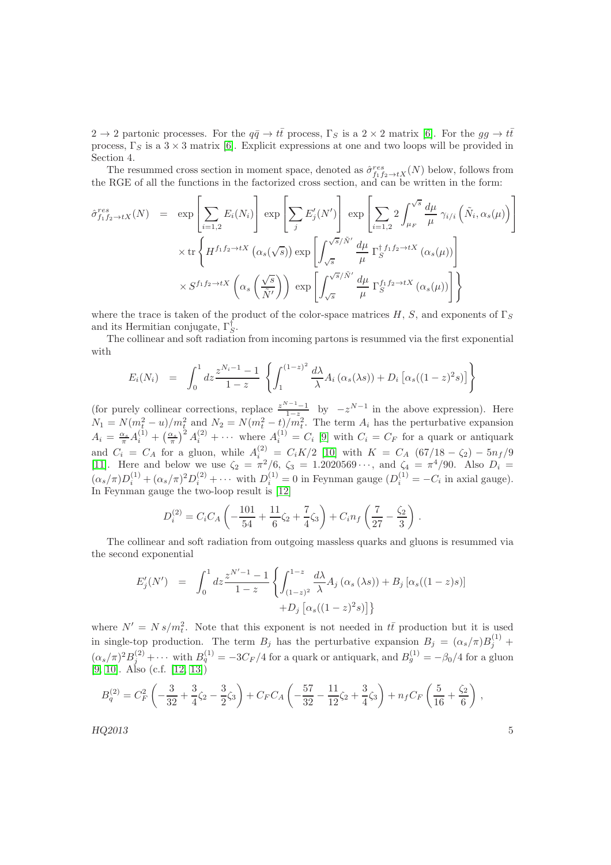$2 \to 2$  partonic processes. For the  $q\bar{q} \to t\bar{t}$  process,  $\Gamma_S$  is a  $2 \times 2$  matrix [\[6\]](#page-28-5). For the  $gg \to t\bar{t}$ process,  $\Gamma_S$  is a  $3 \times 3$  matrix [\[6\]](#page-28-5). Explicit expressions at one and two loops will be provided in Section 4.

The resummed cross section in moment space, denoted as  $\hat{\sigma}_{f_1f_2\to tX}^{res}(N)$  below, follows from the RGE of all the functions in the factorized cross section, and can be written in the form:

$$
\hat{\sigma}_{f_1 f_2 \to tX}^{res}(N) = \exp \left[ \sum_{i=1,2} E_i(N_i) \right] \exp \left[ \sum_j E'_j(N') \right] \exp \left[ \sum_{i=1,2} 2 \int_{\mu_F}^{\sqrt{s}} \frac{d\mu}{\mu} \gamma_{i/i} \left( \tilde{N}_i, \alpha_s(\mu) \right) \right]
$$
  
 
$$
\times \operatorname{tr} \left\{ H^{f_1 f_2 \to tX} \left( \alpha_s(\sqrt{s}) \right) \exp \left[ \int_{\sqrt{s}}^{\sqrt{s}/\tilde{N}'} \frac{d\mu}{\mu} \Gamma_S^{\dagger f_1 f_2 \to tX} \left( \alpha_s(\mu) \right) \right]
$$
  
 
$$
\times S^{f_1 f_2 \to tX} \left( \alpha_s \left( \frac{\sqrt{s}}{\tilde{N}'} \right) \right) \exp \left[ \int_{\sqrt{s}}^{\sqrt{s}/\tilde{N}'} \frac{d\mu}{\mu} \Gamma_S^{f_1 f_2 \to tX} \left( \alpha_s(\mu) \right) \right] \right\}
$$

where the trace is taken of the product of the color-space matrices H, S, and exponents of  $\Gamma_S$ and its Hermitian conjugate,  $\Gamma_S^{\dagger}$ .

The collinear and soft radiation from incoming partons is resummed via the first exponential with

$$
E_i(N_i) = \int_0^1 dz \frac{z^{N_i - 1} - 1}{1 - z} \left\{ \int_1^{(1 - z)^2} \frac{d\lambda}{\lambda} A_i (\alpha_s(\lambda s)) + D_i [\alpha_s((1 - z)^2 s)] \right\}
$$

(for purely collinear corrections, replace  $\frac{z^{N-1}-1}{1-z}$  by  $-z^{N-1}$  in the above expression). Here  $N_1 = N(m_t^2 - u)/m_t^2$  and  $N_2 = N(m_t^2 - t)/m_t^2$ . The term  $A_i$  has the perturbative expansion  $A_i = \frac{\alpha_s}{\pi} A_i^{(1)} + \left(\frac{\alpha_s}{\pi}\right)^2 A_i^{(2)} + \cdots$  where  $A_i^{(1)} = C_i$  [\[9\]](#page-28-8) with  $C_i = C_F$  for a quark or antiquark and  $C_i = C_A$  for a gluon, while  $A_i^{(2)} = C_i K/2$  [\[10\]](#page-28-9) with  $K = C_A (67/18 - \zeta_2) - 5n_f/9$ [\[11\]](#page-28-10). Here and below we use  $\zeta_2 = \pi^2/6$ ,  $\zeta_3 = 1.2020569 \cdots$ , and  $\zeta_4 = \pi^4/90$ . Also  $D_i =$  $(\alpha_s/\pi)D_i^{(1)} + (\alpha_s/\pi)^2 D_i^{(2)} + \cdots$  with  $D_i^{(1)} = 0$  in Feynman gauge  $(D_i^{(1)} = -C_i$  in axial gauge). In Feynman gauge the two-loop result is [\[12\]](#page-28-11)

$$
D_i^{(2)} = C_i C_A \left( -\frac{101}{54} + \frac{11}{6} \zeta_2 + \frac{7}{4} \zeta_3 \right) + C_i n_f \left( \frac{7}{27} - \frac{\zeta_2}{3} \right) .
$$

The collinear and soft radiation from outgoing massless quarks and gluons is resummed via the second exponential

$$
E'_{j}(N') = \int_{0}^{1} dz \frac{z^{N'-1} - 1}{1 - z} \left\{ \int_{(1-z)^{2}}^{1-z} \frac{d\lambda}{\lambda} A_{j} \left( \alpha_{s} (\lambda s) \right) + B_{j} \left[ \alpha_{s} ((1-z)s) \right] + D_{j} \left[ \alpha_{s} ((1-z)^{2} s) \right] \right\}
$$

where  $N' = N s/m_t^2$ . Note that this exponent is not needed in  $t\bar{t}$  production but it is used in single-top production. The term  $B_j$  has the perturbative expansion  $B_j = (\alpha_s/\pi)B_j^{(1)}$  +  $(\alpha_s/\pi)^2 B_j^{(2)} + \cdots$  with  $B_q^{(1)} = -3C_F/4$  for a quark or antiquark, and  $B_g^{(1)} = -\beta_0/4$  for a gluon [\[9,](#page-28-8) [10\]](#page-28-9). Also (c.f. [\[12,](#page-28-11) [13\]](#page-29-0))

$$
B_q^{(2)} = C_F^2 \left( -\frac{3}{32} + \frac{3}{4}\zeta_2 - \frac{3}{2}\zeta_3 \right) + C_F C_A \left( -\frac{57}{32} - \frac{11}{12}\zeta_2 + \frac{3}{4}\zeta_3 \right) + n_f C_F \left( \frac{5}{16} + \frac{\zeta_2}{6} \right) ,
$$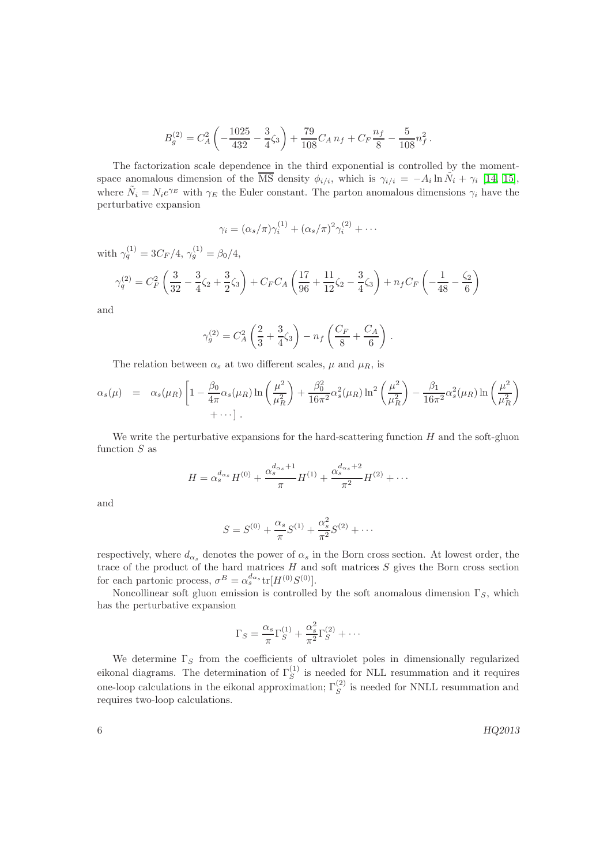$$
B_g^{(2)} = C_A^2 \left( -\frac{1025}{432} - \frac{3}{4}\zeta_3 \right) + \frac{79}{108} C_A n_f + C_F \frac{n_f}{8} - \frac{5}{108} n_f^2.
$$

The factorization scale dependence in the third exponential is controlled by the momentspace anomalous dimension of the  $\overline{\text{MS}}$  density  $\phi_{i/i}$ , which is  $\gamma_{i/i} = -A_i \ln \tilde{N}_i + \gamma_i$  [\[14,](#page-29-1) [15\]](#page-29-2), where  $\tilde{N}_i = N_i e^{\gamma_E}$  with  $\gamma_E$  the Euler constant. The parton anomalous dimensions  $\gamma_i$  have the perturbative expansion

$$
\gamma_i = (\alpha_s/\pi)\gamma_i^{(1)} + (\alpha_s/\pi)^2\gamma_i^{(2)} + \cdots
$$

with  $\gamma_q^{(1)} = 3C_F/4$ ,  $\gamma_g^{(1)} = \beta_0/4$ ,

$$
\gamma_q^{(2)} = C_F^2 \left( \frac{3}{32} - \frac{3}{4} \zeta_2 + \frac{3}{2} \zeta_3 \right) + C_F C_A \left( \frac{17}{96} + \frac{11}{12} \zeta_2 - \frac{3}{4} \zeta_3 \right) + n_f C_F \left( -\frac{1}{48} - \frac{\zeta_2}{6} \right)
$$

and

$$
\gamma_g^{(2)} = C_A^2 \left( \frac{2}{3} + \frac{3}{4} \zeta_3 \right) - n_f \left( \frac{C_F}{8} + \frac{C_A}{6} \right) .
$$

The relation between  $\alpha_s$  at two different scales,  $\mu$  and  $\mu_R$ , is

$$
\alpha_s(\mu) = \alpha_s(\mu_R) \left[ 1 - \frac{\beta_0}{4\pi} \alpha_s(\mu_R) \ln \left( \frac{\mu^2}{\mu_R^2} \right) + \frac{\beta_0^2}{16\pi^2} \alpha_s^2(\mu_R) \ln^2 \left( \frac{\mu^2}{\mu_R^2} \right) - \frac{\beta_1}{16\pi^2} \alpha_s^2(\mu_R) \ln \left( \frac{\mu^2}{\mu_R^2} \right) + \cdots \right].
$$

We write the perturbative expansions for the hard-scattering function  $H$  and the soft-gluon function  $S$  as

$$
H = \alpha_s^{d_{\alpha_s}} H^{(0)} + \frac{\alpha_s^{d_{\alpha_s}+1}}{\pi} H^{(1)} + \frac{\alpha_s^{d_{\alpha_s}+2}}{\pi^2} H^{(2)} + \cdots
$$

and

$$
S = S^{(0)} + \frac{\alpha_s}{\pi} S^{(1)} + \frac{\alpha_s^2}{\pi^2} S^{(2)} + \cdots
$$

respectively, where  $d_{\alpha_s}$  denotes the power of  $\alpha_s$  in the Born cross section. At lowest order, the trace of the product of the hard matrices  $H$  and soft matrices  $S$  gives the Born cross section for each partonic process,  $\sigma^B = \alpha_s^{d_{\alpha_s}} \text{tr}[H^{(0)}S^{(0)}].$ 

Noncollinear soft gluon emission is controlled by the soft anomalous dimension  $\Gamma_S$ , which has the perturbative expansion

$$
\Gamma_S = \frac{\alpha_s}{\pi} \Gamma_S^{(1)} + \frac{\alpha_s^2}{\pi^2} \Gamma_S^{(2)} + \cdots
$$

We determine  $\Gamma_S$  from the coefficients of ultraviolet poles in dimensionally regularized eikonal diagrams. The determination of  $\Gamma_S^{(1)}$  is needed for NLL resummation and it requires one-loop calculations in the eikonal approximation;  $\Gamma_S^{(2)}$  is needed for NNLL resummation and requires two-loop calculations.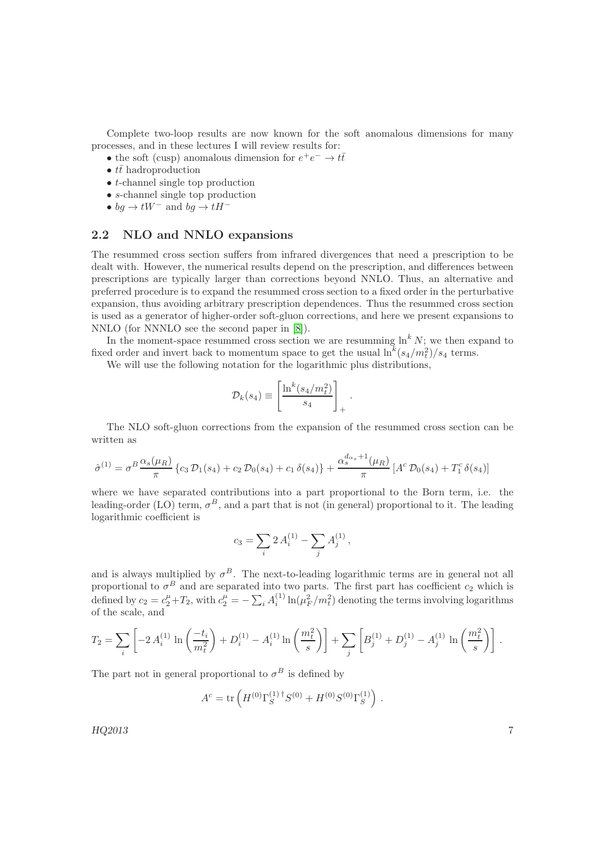Complete two-loop results are now known for the soft anomalous dimensions for many processes, and in these lectures I will review results for:

- the soft (cusp) anomalous dimension for  $e^+e^- \to t\bar{t}$
- $t\bar{t}$  hadroproduction
- $\bullet$  *t*-channel single top production
- s-channel single top production
- $bg \rightarrow tW^-$  and  $bg \rightarrow tH^-$

### 2.2 NLO and NNLO expansions

The resummed cross section suffers from infrared divergences that need a prescription to be dealt with. However, the numerical results depend on the prescription, and differences between prescriptions are typically larger than corrections beyond NNLO. Thus, an alternative and preferred procedure is to expand the resummed cross section to a fixed order in the perturbative expansion, thus avoiding arbitrary prescription dependences. Thus the resummed cross section is used as a generator of higher-order soft-gluon corrections, and here we present expansions to NNLO (for NNNLO see the second paper in [\[8\]](#page-28-7)).

In the moment-space resummed cross section we are resumming  $\ln^k N$ ; we then expand to fixed order and invert back to momentum space to get the usual  $\ln^k(s_4/m_t^2)/s_4$  terms.

We will use the following notation for the logarithmic plus distributions,

$$
\mathcal{D}_k(s_4) \equiv \left[\frac{\ln^k(s_4/m_t^2)}{s_4}\right]_+.
$$

The NLO soft-gluon corrections from the expansion of the resummed cross section can be written as

$$
\hat{\sigma}^{(1)} = \sigma^{B} \frac{\alpha_{s}(\mu_{R})}{\pi} \left\{ c_{3} \mathcal{D}_{1}(s_{4}) + c_{2} \mathcal{D}_{0}(s_{4}) + c_{1} \delta(s_{4}) \right\} + \frac{\alpha_{s}^{d_{\alpha_{s}}+1}(\mu_{R})}{\pi} \left[ A^{c} \mathcal{D}_{0}(s_{4}) + T_{1}^{c} \delta(s_{4}) \right]
$$

where we have separated contributions into a part proportional to the Born term, i.e. the leading-order (LO) term,  $\sigma^B$ , and a part that is not (in general) proportional to it. The leading logarithmic coefficient is

$$
c_3 = \sum_i 2 A_i^{(1)} - \sum_j A_j^{(1)}\,,
$$

and is always multiplied by  $\sigma^B$ . The next-to-leading logarithmic terms are in general not all proportional to  $\sigma^B$  and are separated into two parts. The first part has coefficient  $c_2$  which is defined by  $c_2 = c_2^{\mu} + T_2$ , with  $c_2^{\mu} = -\sum_i A_i^{(1)} \ln(\mu_F^2/m_t^2)$  denoting the terms involving logarithms of the scale, and

$$
T_2 = \sum_i \left[ -2 A_i^{(1)} \ln \left( \frac{-t_i}{m_t^2} \right) + D_i^{(1)} - A_i^{(1)} \ln \left( \frac{m_t^2}{s} \right) \right] + \sum_j \left[ B_j^{(1)} + D_j^{(1)} - A_j^{(1)} \ln \left( \frac{m_t^2}{s} \right) \right] .
$$

The part not in general proportional to  $\sigma^B$  is defined by

$$
Ac = \text{tr}\left(H^{(0)}\Gamma_S^{(1) \dagger}S^{(0)} + H^{(0)}S^{(0)}\Gamma_S^{(1)}\right).
$$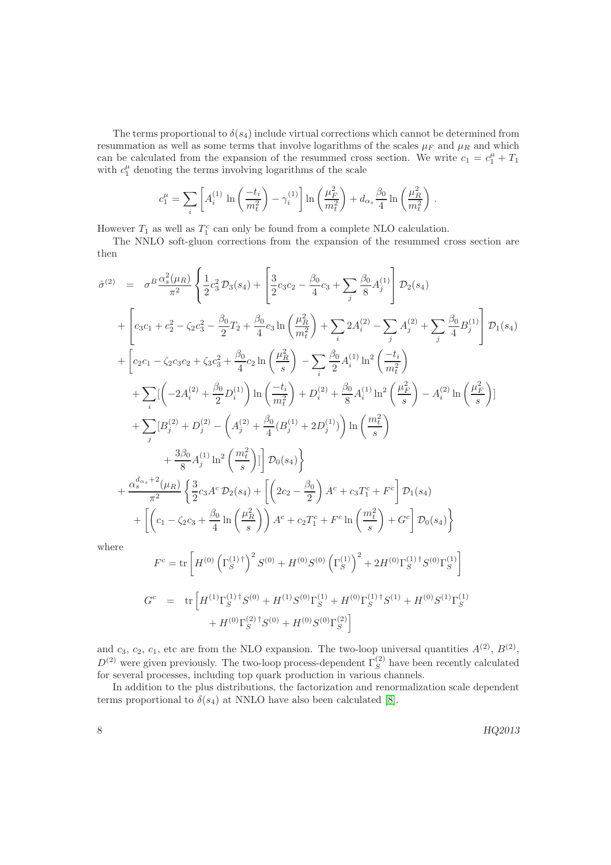The terms proportional to  $\delta(s_4)$  include virtual corrections which cannot be determined from resummation as well as some terms that involve logarithms of the scales  $\mu_F$  and  $\mu_R$  and which can be calculated from the expansion of the resummed cross section. We write  $c_1 = c_1^{\mu} + T_1$ with  $c_1^{\mu}$  denoting the terms involving logarithms of the scale

$$
c_1^{\mu} = \sum_i \left[ A_i^{(1)} \ln \left( \frac{-t_i}{m_t^2} \right) - \gamma_i^{(1)} \right] \ln \left( \frac{\mu_F^2}{m_t^2} \right) + d_{\alpha_s} \frac{\beta_0}{4} \ln \left( \frac{\mu_R^2}{m_t^2} \right).
$$

However  $T_1$  as well as  $T_1^c$  can only be found from a complete NLO calculation.

The NNLO soft-gluon corrections from the expansion of the resummed cross section are then

$$
\hat{\sigma}^{(2)} = \sigma^{B} \frac{\alpha_{s}^{2}(\mu_{R})}{\pi^{2}} \left\{ \frac{1}{2} c_{3}^{2} \mathcal{D}_{3}(s_{4}) + \left[ \frac{3}{2} c_{3} c_{2} - \frac{\beta_{0}}{4} c_{3} + \sum_{j} \frac{\beta_{0}}{8} A_{j}^{(1)} \right] \mathcal{D}_{2}(s_{4}) \right.\n+ \left[ c_{3} c_{1} + c_{2}^{2} - \zeta_{2} c_{3}^{2} - \frac{\beta_{0}}{2} T_{2} + \frac{\beta_{0}}{4} c_{3} \ln \left( \frac{\mu_{R}^{2}}{m_{\tilde{\ell}}} \right) + \sum_{i} 2 A_{i}^{(2)} - \sum_{j} A_{j}^{(2)} + \sum_{j} \frac{\beta_{0}}{4} B_{j}^{(1)} \right] \mathcal{D}_{1}(s_{4}) \n+ \left[ c_{2} c_{1} - \zeta_{2} c_{3} c_{2} + \zeta_{3} c_{3}^{2} + \frac{\beta_{0}}{4} c_{2} \ln \left( \frac{\mu_{R}^{2}}{s} \right) - \sum_{i} \frac{\beta_{0}}{2} A_{i}^{(1)} \ln^{2} \left( \frac{-t_{i}}{m_{\tilde{\ell}}} \right) \n+ \sum_{i} \left[ \left( -2 A_{i}^{(2)} + \frac{\beta_{0}}{2} D_{i}^{(1)} \right) \ln \left( \frac{-t_{i}}{m_{\tilde{\ell}}} \right) + D_{i}^{(2)} + \frac{\beta_{0}}{8} A_{i}^{(1)} \ln^{2} \left( \frac{\mu_{F}^{2}}{s} \right) - A_{i}^{(2)} \ln \left( \frac{\mu_{F}^{2}}{s} \right) \right] \n+ \sum_{j} \left[ B_{j}^{(2)} + D_{j}^{(2)} - \left( A_{j}^{(2)} + \frac{\beta_{0}}{4} (B_{j}^{(1)} + 2 D_{j}^{(1)}) \right) \ln \left( \frac{m_{\tilde{\ell}}^{2}}{s} \right) - A_{i}^{(2)} \ln \left( \frac{\mu_{F}^{2}}{s} \right) \right] \n+ \frac{3\beta_{0}}{8} A_{j}^{(1)} \ln^{2} \left
$$

$$
G^{c} = \text{tr}\left[H^{(1)}\Gamma_{S}^{(1) \dagger}S^{(0)} + H^{(1)}S^{(0)}\Gamma_{S}^{(1)} + H^{(0)}\Gamma_{S}^{(1) \dagger}S^{(1)} + H^{(0)}S^{(1)}\Gamma_{S}^{(1)}\right] + H^{(0)}\Gamma_{S}^{(2) \dagger}S^{(0)} + H^{(0)}S^{(0)}\Gamma_{S}^{(2)}\right]
$$

and  $c_3$ ,  $c_2$ ,  $c_1$ , etc are from the NLO expansion. The two-loop universal quantities  $A^{(2)}$ ,  $B^{(2)}$ ,  $D^{(2)}$  were given previously. The two-loop process-dependent  $\Gamma_S^{(2)}$  have been recently calculated for several processes, including top quark production in various channels.

In addition to the plus distributions, the factorization and renormalization scale dependent terms proportional to  $\delta(s_4)$  at NNLO have also been calculated [\[8\]](#page-28-7).

 $8 \text{ HQ}$ 2013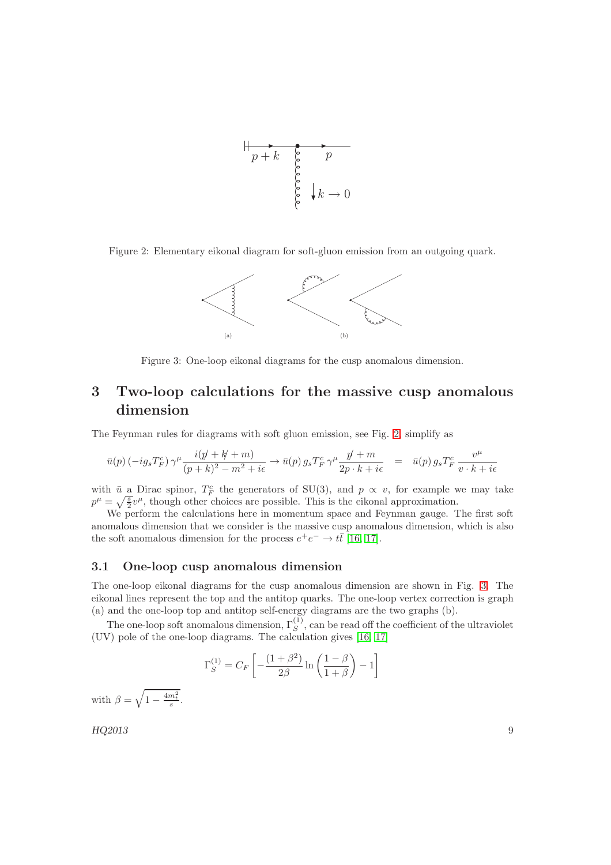

Figure 2: Elementary eikonal diagram for soft-gluon emission from an outgoing quark.

<span id="page-9-0"></span>

<span id="page-9-1"></span>Figure 3: One-loop eikonal diagrams for the cusp anomalous dimension.

# 3 Two-loop calculations for the massive cusp anomalous dimension

The Feynman rules for diagrams with soft gluon emission, see Fig. [2,](#page-9-0) simplify as

$$
\bar{u}(p) \left(-ig_s T_F^c\right) \gamma^\mu \frac{i(p' + k' + m)}{(p + k)^2 - m^2 + i\epsilon} \to \bar{u}(p) \, g_s T_F^c \, \gamma^\mu \frac{p' + m}{2p \cdot k + i\epsilon} \quad = \quad \bar{u}(p) \, g_s T_F^c \, \frac{v^\mu}{v \cdot k + i\epsilon}
$$

with  $\bar{u}$  a Dirac spinor,  $T_F^c$  the generators of SU(3), and  $p \propto v$ , for example we may take  $p^{\mu} = \sqrt{\frac{s}{2}}v^{\mu}$ , though other choices are possible. This is the eikonal approximation.

We perform the calculations here in momentum space and Feynman gauge. The first soft anomalous dimension that we consider is the massive cusp anomalous dimension, which is also the soft anomalous dimension for the process  $e^+e^- \to t\bar{t}$  [\[16,](#page-29-3) [17\]](#page-29-4).

### 3.1 One-loop cusp anomalous dimension

The one-loop eikonal diagrams for the cusp anomalous dimension are shown in Fig. [3.](#page-9-1) The eikonal lines represent the top and the antitop quarks. The one-loop vertex correction is graph (a) and the one-loop top and antitop self-energy diagrams are the two graphs (b).

The one-loop soft anomalous dimension,  $\Gamma_S^{(1)}$ , can be read off the coefficient of the ultraviolet (UV) pole of the one-loop diagrams. The calculation gives [\[16,](#page-29-3) [17\]](#page-29-4)

$$
\Gamma_S^{(1)} = C_F \left[ -\frac{(1+\beta^2)}{2\beta} \ln \left( \frac{1-\beta}{1+\beta} \right) - 1 \right]
$$

with  $\beta = \sqrt{1 - \frac{4m_t^2}{s}}$ .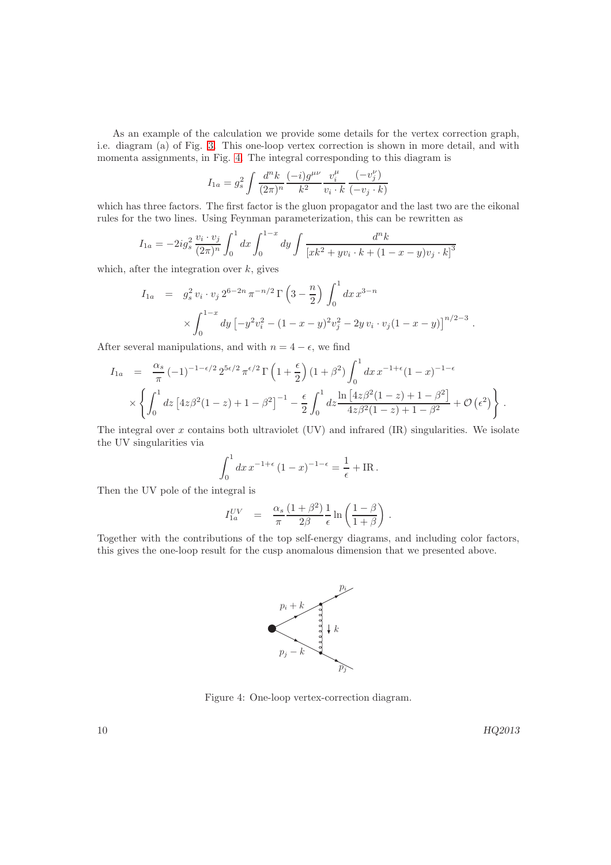As an example of the calculation we provide some details for the vertex correction graph, i.e. diagram (a) of Fig. [3.](#page-9-1) This one-loop vertex correction is shown in more detail, and with momenta assignments, in Fig. [4.](#page-10-0) The integral corresponding to this diagram is

$$
I_{1a} = g_s^2 \int \frac{d^n k}{(2\pi)^n} \frac{(-i)g^{\mu\nu}}{k^2} \frac{v_i^{\mu}}{v_i \cdot k} \frac{(-v_j^{\nu})}{(-v_j \cdot k)}
$$

which has three factors. The first factor is the gluon propagator and the last two are the eikonal rules for the two lines. Using Feynman parameterization, this can be rewritten as

$$
I_{1a} = -2ig_s^2 \frac{v_i \cdot v_j}{(2\pi)^n} \int_0^1 dx \int_0^{1-x} dy \int \frac{d^n k}{\left[xk^2 + yv_i \cdot k + (1-x-y)v_j \cdot k\right]^3}
$$

which, after the integration over  $k$ , gives

$$
I_{1a} = g_s^2 v_i \cdot v_j 2^{6-2n} \pi^{-n/2} \Gamma\left(3 - \frac{n}{2}\right) \int_0^1 dx \, x^{3-n}
$$
  
\$\times \int\_0^{1-x} dy \left[ -y^2 v\_i^2 - (1 - x - y)^2 v\_j^2 - 2y v\_i \cdot v\_j (1 - x - y) \right]^{n/2 - 3}\$.

After several manipulations, and with  $n = 4 - \epsilon$ , we find

$$
I_{1a} = \frac{\alpha_s}{\pi} (-1)^{-1-\epsilon/2} 2^{5\epsilon/2} \pi^{\epsilon/2} \Gamma\left(1+\frac{\epsilon}{2}\right) (1+\beta^2) \int_0^1 dx \, x^{-1+\epsilon} (1-x)^{-1-\epsilon} \times \left\{ \int_0^1 dz \, \left[4z\beta^2 (1-z) + 1 - \beta^2\right]^{-1} - \frac{\epsilon}{2} \int_0^1 dz \frac{\ln\left[4z\beta^2 (1-z) + 1 - \beta^2\right]}{4z\beta^2 (1-z) + 1 - \beta^2} + \mathcal{O}\left(\epsilon^2\right) \right\}.
$$

The integral over  $x$  contains both ultraviolet (UV) and infrared  $(IR)$  singularities. We isolate the UV singularities via

$$
\int_0^1 dx \, x^{-1+\epsilon} \, (1-x)^{-1-\epsilon} = \frac{1}{\epsilon} + \text{IR} \, .
$$

Then the UV pole of the integral is

$$
I_{1a}^{UV} = \frac{\alpha_s}{\pi} \frac{(1+\beta^2)}{2\beta} \frac{1}{\epsilon} \ln\left(\frac{1-\beta}{1+\beta}\right).
$$

Together with the contributions of the top self-energy diagrams, and including color factors, this gives the one-loop result for the cusp anomalous dimension that we presented above.



<span id="page-10-0"></span>Figure 4: One-loop vertex-correction diagram.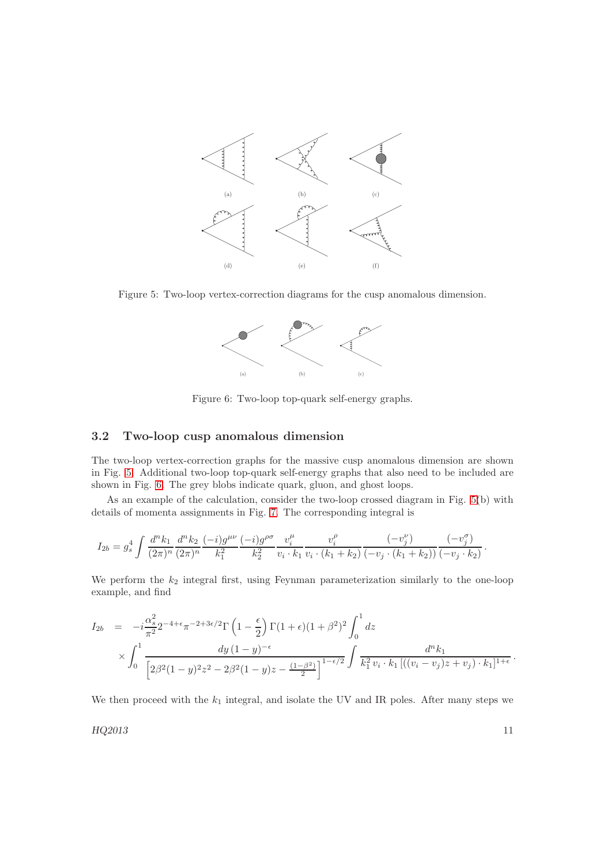

<span id="page-11-0"></span>Figure 5: Two-loop vertex-correction diagrams for the cusp anomalous dimension.



<span id="page-11-1"></span>Figure 6: Two-loop top-quark self-energy graphs.

### 3.2 Two-loop cusp anomalous dimension

The two-loop vertex-correction graphs for the massive cusp anomalous dimension are shown in Fig. [5.](#page-11-0) Additional two-loop top-quark self-energy graphs that also need to be included are shown in Fig. [6.](#page-11-1) The grey blobs indicate quark, gluon, and ghost loops.

As an example of the calculation, consider the two-loop crossed diagram in Fig. [5\(](#page-11-0)b) with details of momenta assignments in Fig. [7.](#page-12-0) The corresponding integral is

$$
I_{2b} = g_s^4 \int \frac{d^n k_1}{(2\pi)^n} \frac{d^n k_2}{(2\pi)^n} \frac{(-i)g^{\mu\nu}}{k_1^2} \frac{(-i)g^{\rho\sigma}}{k_2^2} \frac{v_i^{\mu}}{v_i \cdot k_1} \frac{v_i^{\rho}}{v_i \cdot (k_1 + k_2)} \frac{(-v_j^{\nu})}{(-v_j \cdot (k_1 + k_2))} \frac{(-v_j^{\sigma})}{(-v_j \cdot k_2)}.
$$

We perform the  $k_2$  integral first, using Feynman parameterization similarly to the one-loop example, and find

$$
I_{2b} = -i\frac{\alpha_s^2}{\pi^2} 2^{-4+\epsilon} \pi^{-2+3\epsilon/2} \Gamma\left(1-\frac{\epsilon}{2}\right) \Gamma(1+\epsilon)(1+\beta^2)^2 \int_0^1 dz
$$
  
\$\times \int\_0^1 \frac{dy (1-y)^{-\epsilon}}{\left[2\beta^2 (1-y)^2 z^2 - 2\beta^2 (1-y) z - \frac{(1-\beta^2)}{2}\right]^{1-\epsilon/2}} \int \frac{d^n k\_1}{k\_1^2 v\_i \cdot k\_1 \left[((v\_i - v\_j) z + v\_j) \cdot k\_1\right]^{1+\epsilon}}.

We then proceed with the  $k_1$  integral, and isolate the UV and IR poles. After many steps we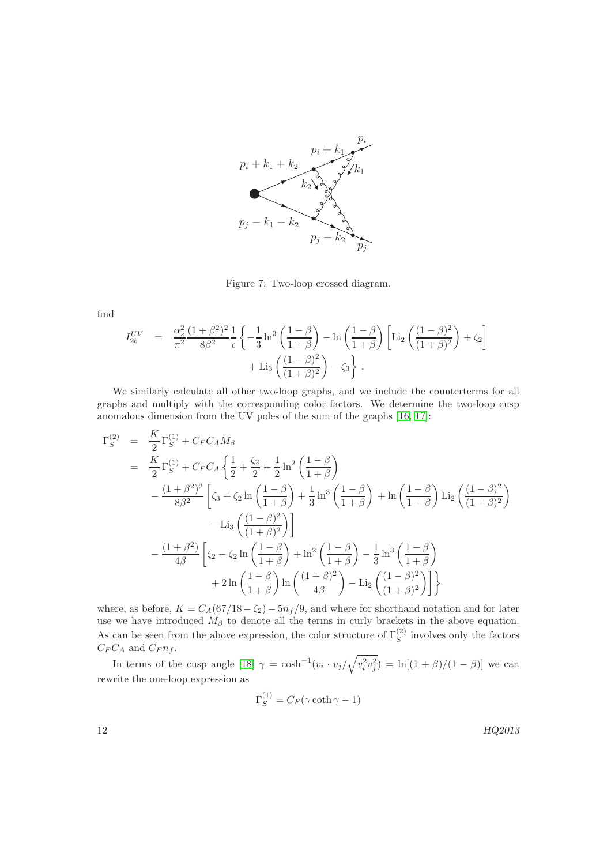

<span id="page-12-0"></span>Figure 7: Two-loop crossed diagram.

find

$$
I_{2b}^{UV} = \frac{\alpha_s^2}{\pi^2} \frac{(1+\beta^2)^2}{8\beta^2} \frac{1}{\epsilon} \left\{ -\frac{1}{3} \ln^3 \left( \frac{1-\beta}{1+\beta} \right) - \ln \left( \frac{1-\beta}{1+\beta} \right) \left[ \text{Li}_2 \left( \frac{(1-\beta)^2}{(1+\beta)^2} \right) + \zeta_2 \right] + \text{Li}_3 \left( \frac{(1-\beta)^2}{(1+\beta)^2} \right) - \zeta_3 \right\}.
$$

We similarly calculate all other two-loop graphs, and we include the counterterms for all graphs and multiply with the corresponding color factors. We determine the two-loop cusp anomalous dimension from the UV poles of the sum of the graphs [\[16,](#page-29-3) [17\]](#page-29-4):

$$
\Gamma_S^{(2)} = \frac{K}{2} \Gamma_S^{(1)} + C_F C_A M_\beta
$$
  
\n
$$
= \frac{K}{2} \Gamma_S^{(1)} + C_F C_A \left\{ \frac{1}{2} + \frac{\zeta_2}{2} + \frac{1}{2} \ln^2 \left( \frac{1-\beta}{1+\beta} \right) - \frac{(1+\beta^2)^2}{8\beta^2} \left[ \zeta_3 + \zeta_2 \ln \left( \frac{1-\beta}{1+\beta} \right) + \frac{1}{3} \ln^3 \left( \frac{1-\beta}{1+\beta} \right) + \ln \left( \frac{1-\beta}{1+\beta} \right) \text{Li}_2 \left( \frac{(1-\beta)^2}{(1+\beta)^2} \right) - \text{Li}_3 \left( \frac{(1-\beta)^2}{(1+\beta)^2} \right) \right\}
$$
  
\n
$$
- \frac{(1+\beta^2)}{4\beta} \left[ \zeta_2 - \zeta_2 \ln \left( \frac{1-\beta}{1+\beta} \right) + \ln^2 \left( \frac{1-\beta}{1+\beta} \right) - \frac{1}{3} \ln^3 \left( \frac{1-\beta}{1+\beta} \right) + 2 \ln \left( \frac{1-\beta}{1+\beta} \right) \ln \left( \frac{(1+\beta)^2}{4\beta} \right) - \text{Li}_2 \left( \frac{(1-\beta)^2}{(1+\beta)^2} \right) \right] \right\}
$$

where, as before,  $K = C_A(67/18 - \zeta_2) - 5n_f/9$ , and where for shorthand notation and for later use we have introduced  $M_{\beta}$  to denote all the terms in curly brackets in the above equation. As can be seen from the above expression, the color structure of  $\Gamma_S^{(2)}$  $S<sup>(2)</sup>$  involves only the factors  $C_F C_A$  and  $C_F n_f$ .

In terms of the cusp angle [\[18\]](#page-29-5)  $\gamma = \cosh^{-1}(v_i \cdot v_j / \sqrt{v_i^2 v_j^2}) = \ln[(1 + \beta)/(1 - \beta)]$  we can rewrite the one-loop expression as

$$
\Gamma_S^{(1)} = C_F(\gamma \coth \gamma - 1)
$$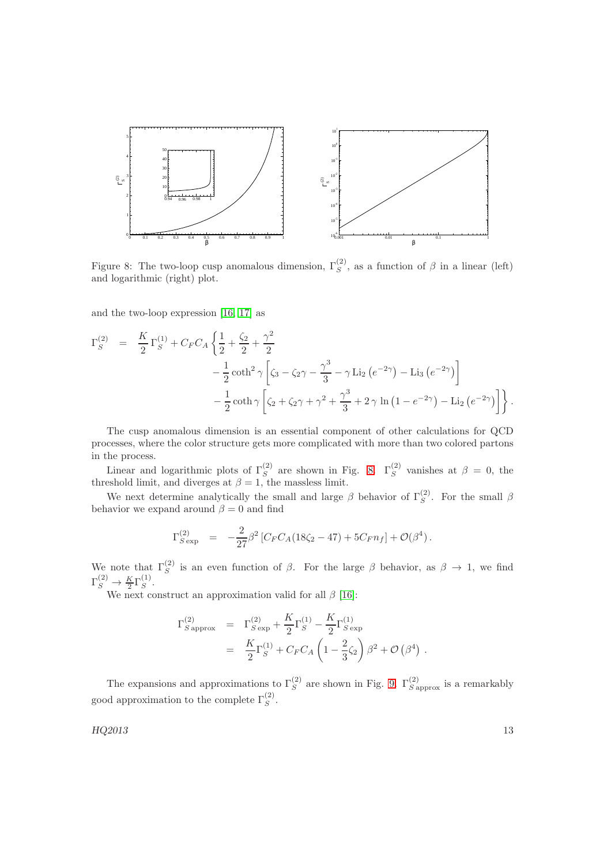

<span id="page-13-0"></span>Figure 8: The two-loop cusp anomalous dimension,  $\Gamma_S^{(2)}$ , as a function of  $\beta$  in a linear (left) and logarithmic (right) plot.

and the two-loop expression [\[16,](#page-29-3) [17\]](#page-29-4) as

$$
\Gamma_S^{(2)} = \frac{K}{2} \Gamma_S^{(1)} + C_F C_A \left\{ \frac{1}{2} + \frac{\zeta_2}{2} + \frac{\gamma^2}{2} - \frac{1}{2} \coth^2 \gamma \left[ \zeta_3 - \zeta_2 \gamma - \frac{\gamma^3}{3} - \gamma \operatorname{Li}_2 \left( e^{-2\gamma} \right) - \operatorname{Li}_3 \left( e^{-2\gamma} \right) \right] - \frac{1}{2} \coth \gamma \left[ \zeta_2 + \zeta_2 \gamma + \gamma^2 + \frac{\gamma^3}{3} + 2 \gamma \ln \left( 1 - e^{-2\gamma} \right) - \operatorname{Li}_2 \left( e^{-2\gamma} \right) \right] \right\}.
$$

The cusp anomalous dimension is an essential component of other calculations for QCD processes, where the color structure gets more complicated with more than two colored partons in the process.

Linear and logarithmic plots of  $\Gamma_S^{(2)}$  are shown in Fig. [8.](#page-13-0)  $\Gamma_S^{(2)}$  vanishes at  $\beta = 0$ , the threshold limit, and diverges at  $\beta = 1$ , the massless limit.

We next determine analytically the small and large  $\beta$  behavior of  $\Gamma_S^{(2)}$ . For the small  $\beta$ behavior we expand around  $\beta = 0$  and find

$$
\Gamma_{S \exp}^{(2)} = -\frac{2}{27} \beta^2 \left[ C_F C_A (18\zeta_2 - 47) + 5C_F n_f \right] + \mathcal{O}(\beta^4).
$$

We note that  $\Gamma_S^{(2)}$  is an even function of  $\beta$ . For the large  $\beta$  behavior, as  $\beta \to 1$ , we find  $\Gamma_S^{(2)} \to \frac{K}{2} \Gamma_S^{(1)}$  $S^{\left(1\right)}$ .

We next construct an approximation valid for all  $\beta$  [\[16\]](#page-29-3):

$$
\Gamma_{S\,\text{approx}}^{(2)} = \Gamma_{S\,\text{exp}}^{(2)} + \frac{K}{2}\Gamma_{S}^{(1)} - \frac{K}{2}\Gamma_{S\,\text{exp}}^{(1)}
$$
  
= 
$$
\frac{K}{2}\Gamma_{S}^{(1)} + C_{F}C_{A}\left(1 - \frac{2}{3}\zeta_{2}\right)\beta^{2} + \mathcal{O}\left(\beta^{4}\right)
$$

The expansions and approximations to  $\Gamma_S^{(2)}$  are shown in Fig. [9.](#page-14-0)  $\Gamma_{S\text{ approx}}^{(2)}$  is a remarkably good approximation to the complete  $\Gamma_S^{(2)}$ .

 $HQ2013$  and  $HQ2013$  and  $HQ2013$  and  $HQ2013$  and  $HQ2013$  and  $HQ2013$  and  $HQ2013$  and  $HQ2013$  and  $HQ2013$  and  $HQ2013$  and  $HQ2013$  and  $HQ2013$  and  $HQ2013$  and  $HQ2013$  and  $HQ2013$  and  $HQ2013$  and  $HQ2013$  and

.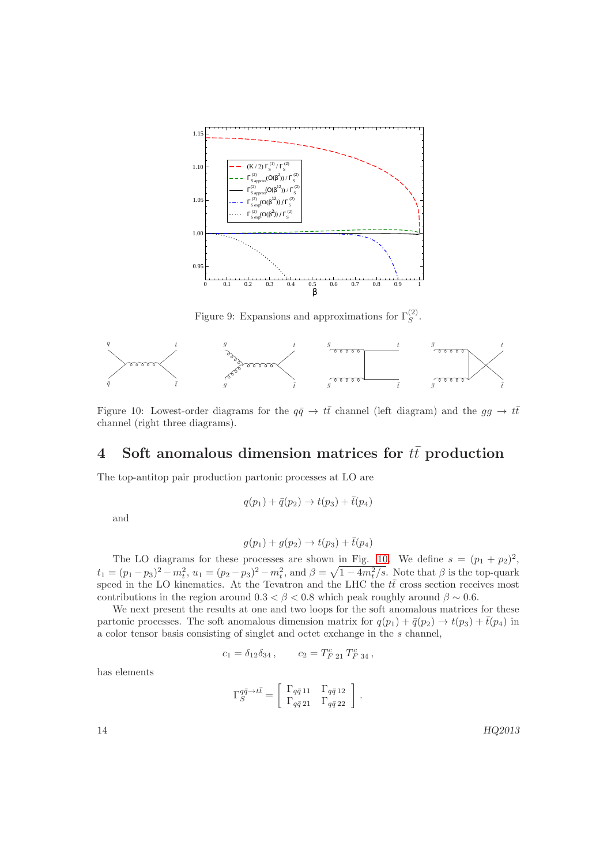

<span id="page-14-0"></span>Figure 9: Expansions and approximations for  $\Gamma_S^{(2)}$ .



<span id="page-14-1"></span>Figure 10: Lowest-order diagrams for the  $q\bar{q} \to t\bar{t}$  channel (left diagram) and the  $gg \to t\bar{t}$ channel (right three diagrams).

# 4 Soft anomalous dimension matrices for  $t\bar{t}$  production

The top-antitop pair production partonic processes at LO are

$$
q(p_1) + \bar{q}(p_2) \to t(p_3) + \bar{t}(p_4)
$$

and

$$
g(p_1) + g(p_2) \to t(p_3) + \bar{t}(p_4)
$$

The LO diagrams for these processes are shown in Fig. [10.](#page-14-1) We define  $s = (p_1 + p_2)^2$ ,  $t_1 = (p_1 - p_3)^2 - m_t^2$ ,  $u_1 = (p_2 - p_3)^2 - m_t^2$ , and  $\beta = \sqrt{1 - 4m_t^2/s}$ . Note that  $\beta$  is the top-quark speed in the LO kinematics. At the Tevatron and the LHC the  $t\bar{t}$  cross section receives most contributions in the region around  $0.3 < \beta < 0.8$  which peak roughly around  $\beta \sim 0.6$ .

We next present the results at one and two loops for the soft anomalous matrices for these partonic processes. The soft anomalous dimension matrix for  $q(p_1) + \bar{q}(p_2) \rightarrow t(p_3) + \bar{t}(p_4)$  in a color tensor basis consisting of singlet and octet exchange in the s channel,

$$
c_1 = \delta_{12}\delta_{34}\,, \qquad c_2 = T_{F\ 21}^c\,T_{F\ 34}^c\,,
$$

has elements

$$
\Gamma_S^{q\bar{q}\rightarrow t\bar{t}} = \left[ \begin{array}{cc} \Gamma_{q\bar{q}\,11} & \Gamma_{q\bar{q}\,12} \\ \Gamma_{q\bar{q}\,21} & \Gamma_{q\bar{q}\,22} \end{array} \right] \,.
$$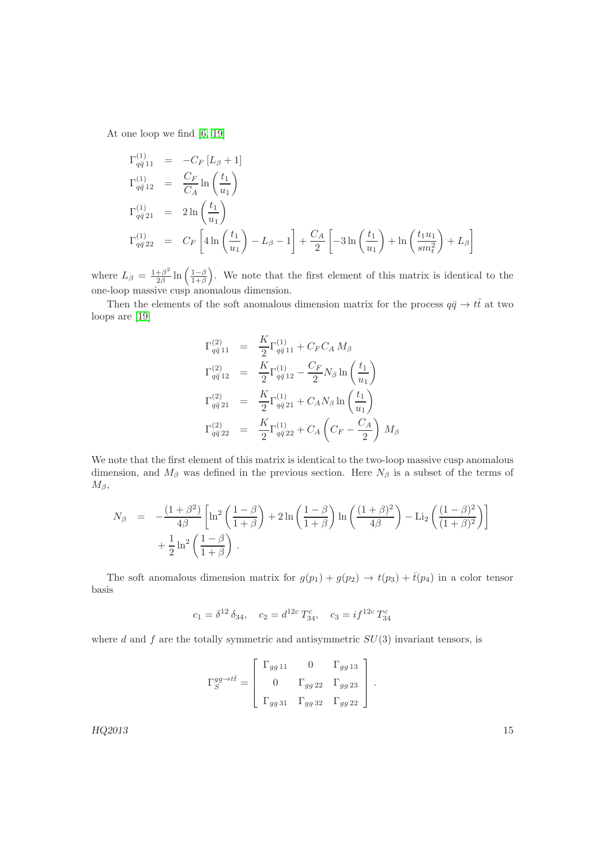At one loop we find [\[6,](#page-28-5) [19\]](#page-29-6)

$$
\Gamma_{q\bar{q}11}^{(1)} = -C_F [L_{\beta} + 1] \n\Gamma_{q\bar{q}12}^{(1)} = \frac{C_F}{C_A} \ln \left( \frac{t_1}{u_1} \right) \n\Gamma_{q\bar{q}21}^{(1)} = 2 \ln \left( \frac{t_1}{u_1} \right) \n\Gamma_{q\bar{q}22}^{(1)} = C_F \left[ 4 \ln \left( \frac{t_1}{u_1} \right) - L_{\beta} - 1 \right] + \frac{C_A}{2} \left[ -3 \ln \left( \frac{t_1}{u_1} \right) + \ln \left( \frac{t_1 u_1}{s m_t^2} \right) + L_{\beta} \right]
$$

where  $L_{\beta} = \frac{1+\beta^2}{2\beta}$  $\frac{1-\beta^2}{2\beta}$  ln  $\left(\frac{1-\beta}{1+\beta}\right)$ . We note that the first element of this matrix is identical to the one-loop massive cusp anomalous dimension.

Then the elements of the soft anomalous dimension matrix for the process  $q\bar{q} \to t\bar{t}$  at two loops are [\[19\]](#page-29-6)

$$
\Gamma_{q\bar{q}11}^{(2)} = \frac{K}{2} \Gamma_{q\bar{q}11}^{(1)} + C_F C_A M_\beta
$$
\n
$$
\Gamma_{q\bar{q}12}^{(2)} = \frac{K}{2} \Gamma_{q\bar{q}12}^{(1)} - \frac{C_F}{2} N_\beta \ln\left(\frac{t_1}{u_1}\right)
$$
\n
$$
\Gamma_{q\bar{q}21}^{(2)} = \frac{K}{2} \Gamma_{q\bar{q}21}^{(1)} + C_A N_\beta \ln\left(\frac{t_1}{u_1}\right)
$$
\n
$$
\Gamma_{q\bar{q}22}^{(2)} = \frac{K}{2} \Gamma_{q\bar{q}22}^{(1)} + C_A \left(C_F - \frac{C_A}{2}\right) M_\beta
$$

We note that the first element of this matrix is identical to the two-loop massive cusp anomalous dimension, and  $M_\beta$  was defined in the previous section. Here  $N_\beta$  is a subset of the terms of  $M_{\beta}$ ,

$$
N_{\beta} = -\frac{(1+\beta^2)}{4\beta} \left[ \ln^2 \left( \frac{1-\beta}{1+\beta} \right) + 2\ln \left( \frac{1-\beta}{1+\beta} \right) \ln \left( \frac{(1+\beta)^2}{4\beta} \right) - \text{Li}_2 \left( \frac{(1-\beta)^2}{(1+\beta)^2} \right) \right] + \frac{1}{2} \ln^2 \left( \frac{1-\beta}{1+\beta} \right).
$$

The soft anomalous dimension matrix for  $g(p_1) + g(p_2) \rightarrow t(p_3) + \bar{t}(p_4)$  in a color tensor basis

$$
c_1 = \delta^{12} \delta_{34}
$$
,  $c_2 = d^{12c} T_{34}^c$ ,  $c_3 = i f^{12c} T_{34}^c$ 

where d and f are the totally symmetric and antisymmetric  $SU(3)$  invariant tensors, is

$$
\Gamma_S^{gg \to t\bar{t}} = \begin{bmatrix} \Gamma_{gg\,11} & 0 & \Gamma_{gg\,13} \\ 0 & \Gamma_{gg\,22} & \Gamma_{gg\,23} \\ \Gamma_{gg\,31} & \Gamma_{gg\,32} & \Gamma_{gg\,22} \end{bmatrix}
$$

.

 $HQ2013$  and  $HQ2013$  and  $HQ2013$  and  $HQ2013$  and  $HQ2013$  and  $HQ2013$  and  $HQ2013$  and  $HQ2013$  and  $HQ2013$  and  $HQ2013$  and  $HQ2013$  and  $HQ2013$  and  $HQ2013$  and  $HQ2013$  and  $HQ2013$  and  $HQ2013$  and  $HQ2013$  and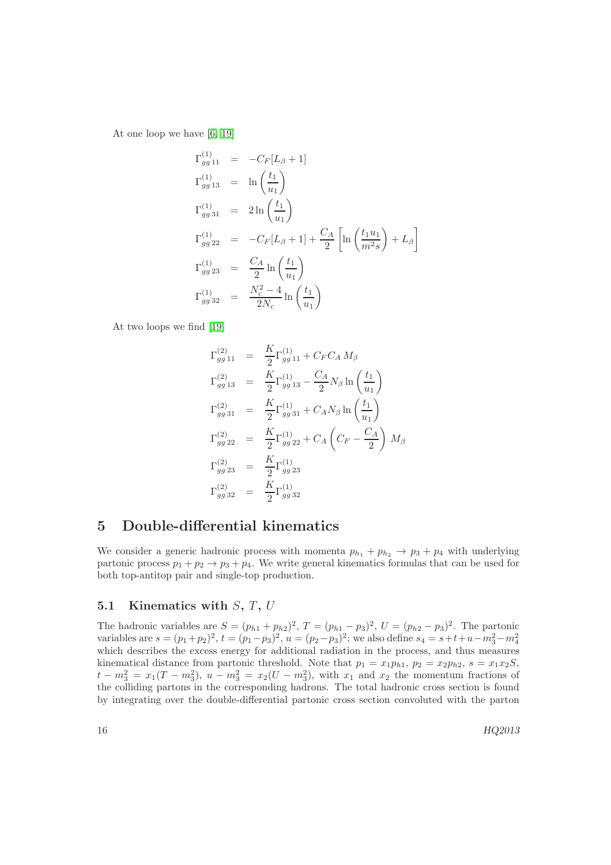At one loop we have [\[6,](#page-28-5) [19\]](#page-29-6)

$$
\Gamma_{gg\,11}^{(1)} = -C_F[L_\beta + 1] \n\Gamma_{gg\,13}^{(1)} = \ln\left(\frac{t_1}{u_1}\right) \n\Gamma_{gg\,21}^{(1)} = 2\ln\left(\frac{t_1}{u_1}\right) \n\Gamma_{gg\,22}^{(1)} = -C_F[L_\beta + 1] + \frac{C_A}{2} \left[ \ln\left(\frac{t_1 u_1}{m^2 s}\right) + L_\beta \right] \n\Gamma_{gg\,23}^{(1)} = \frac{C_A}{2} \ln\left(\frac{t_1}{u_1}\right) \n\Gamma_{gg\,32}^{(1)} = \frac{N_c^2 - 4}{2N_c} \ln\left(\frac{t_1}{u_1}\right)
$$

At two loops we find [\[19\]](#page-29-6)

$$
\Gamma_{gg\,11}^{(2)} = \frac{K}{2} \Gamma_{gg\,11}^{(1)} + C_F C_A M_\beta
$$
\n
$$
\Gamma_{gg\,13}^{(2)} = \frac{K}{2} \Gamma_{gg\,13}^{(1)} - \frac{C_A}{2} N_\beta \ln\left(\frac{t_1}{u_1}\right)
$$
\n
$$
\Gamma_{gg\,31}^{(2)} = \frac{K}{2} \Gamma_{gg\,31}^{(1)} + C_A N_\beta \ln\left(\frac{t_1}{u_1}\right)
$$
\n
$$
\Gamma_{gg\,22}^{(2)} = \frac{K}{2} \Gamma_{gg\,22}^{(1)} + C_A \left(C_F - \frac{C_A}{2}\right) M_\beta
$$
\n
$$
\Gamma_{gg\,23}^{(2)} = \frac{K}{2} \Gamma_{gg\,23}^{(1)}
$$
\n
$$
\Gamma_{gg\,32}^{(2)} = \frac{K}{2} \Gamma_{gg\,32}^{(1)}
$$

## 5 Double-differential kinematics

We consider a generic hadronic process with momenta  $p_{h_1} + p_{h_2} \rightarrow p_3 + p_4$  with underlying partonic process  $p_1 + p_2 \rightarrow p_3 + p_4$ . We write general kinematics formulas that can be used for both top-antitop pair and single-top production.

## 5.1 Kinematics with  $S, T, U$

The hadronic variables are  $S = (p_{h1} + p_{h2})^2$ ,  $T = (p_{h1} - p_3)^2$ ,  $U = (p_{h2} - p_3)^2$ . The partonic variables are  $s = (p_1 + p_2)^2$ ,  $t = (p_1 - p_3)^2$ ,  $u = (p_2 - p_3)^2$ ; we also define  $s_4 = s + t + u - m_3^2 - m_4^2$ which describes the excess energy for additional radiation in the process, and thus measures kinematical distance from partonic threshold. Note that  $p_1 = x_1p_{h1}$ ,  $p_2 = x_2p_{h2}$ ,  $s = x_1x_2S$ ,  $t - m_3^2 = x_1(T - m_3^2), u - m_3^2 = x_2(U - m_3^2), \text{ with } x_1 \text{ and } x_2 \text{ the momentum fractions of }$ the colliding partons in the corresponding hadrons. The total hadronic cross section is found by integrating over the double-differential partonic cross section convoluted with the parton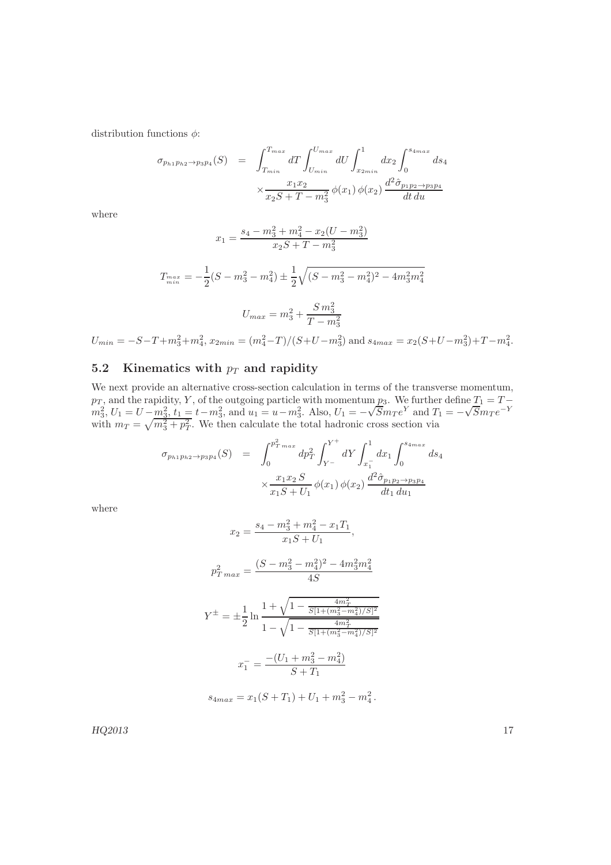distribution functions  $\phi$ :

$$
\sigma_{p_{h1}p_{h2}\to p_3p_4}(S) = \int_{T_{min}}^{T_{max}} dT \int_{U_{min}}^{U_{max}} dU \int_{x_{2min}}^1 dx_2 \int_0^{s_{4max}} ds_4
$$

$$
\times \frac{x_1 x_2}{x_2 S + T - m_3^2} \phi(x_1) \phi(x_2) \frac{d^2 \hat{\sigma}_{p_1 p_2 \to p_3 p_4}}{dt du}
$$

where

$$
x_1 = \frac{s_4 - m_3^2 + m_4^2 - x_2(U - m_3^2)}{x_2S + T - m_3^2}
$$

$$
T_{\min}^{max} = -\frac{1}{2}(S - m_3^2 - m_4^2) \pm \frac{1}{2}\sqrt{(S - m_3^2 - m_4^2)^2 - 4m_3^2m_4^2}
$$

$$
U_{max} = m_3^2 + \frac{S m_3^2}{T - m_3^2}
$$

 $U_{min} = -S - T + m_3^2 + m_4^2$ ,  $x_{2min} = (m_4^2 - T)/(S + U - m_3^2)$  and  $s_{4max} = x_2(S + U - m_3^2) + T - m_4^2$ .

## 5.2 Kinematics with  $p_T$  and rapidity

We next provide an alternative cross-section calculation in terms of the transverse momentum,  $p_T$ , and the rapidity, Y, of the outgoing particle with momentum  $p_3$ . We further define  $T_1 = T - p_1$  $m_3^2$ ,  $U_1 = U - \frac{m_3^2}{m_3^2}$ ,  $t_1 = t - m_3^2$ , and  $u_1 = u - m_3^2$ . Also,  $U_1 = -\sqrt{5} m_T e^Y$  and  $T_1 = -\sqrt{5} m_T e^{-Y}$ with  $m_T = \sqrt{m_3^2 + p_T^2}$ . We then calculate the total hadronic cross section via

$$
\sigma_{p_{h1}p_{h2}\to p_3p_4}(S) = \int_0^{p_T^2 \max} dp_T^2 \int_{Y^-}^{Y^+} dY \int_{x_1^-}^1 dx_1 \int_0^{s_{4max}} ds_4
$$

$$
\times \frac{x_1 x_2 S}{x_1 S + U_1} \phi(x_1) \phi(x_2) \frac{d^2 \hat{\sigma}_{p_1 p_2 \to p_3 p_4}}{dt_1 du_1}
$$

where

$$
x_2 = \frac{s_4 - m_3^2 + m_4^2 - x_1 T_1}{x_1 S + U_1},
$$
  
\n
$$
p_{T \, max}^2 = \frac{(S - m_3^2 - m_4^2)^2 - 4m_3^2 m_4^2}{4S}
$$
  
\n
$$
Y^{\pm} = \pm \frac{1}{2} \ln \frac{1 + \sqrt{1 - \frac{4m_T^2}{S[1 + (m_3^2 - m_4^2)/S]^2}}}{1 - \sqrt{1 - \frac{4m_T^2}{S[1 + (m_3^2 - m_4^2)/S]^2}}}
$$
  
\n
$$
x_1^- = \frac{-(U_1 + m_3^2 - m_4^2)}{S + T_1}
$$
  
\n
$$
s_{4 \, max} = x_1 (S + T_1) + U_1 + m_3^2 - m_4^2.
$$

 $HQ2013$  and  $17$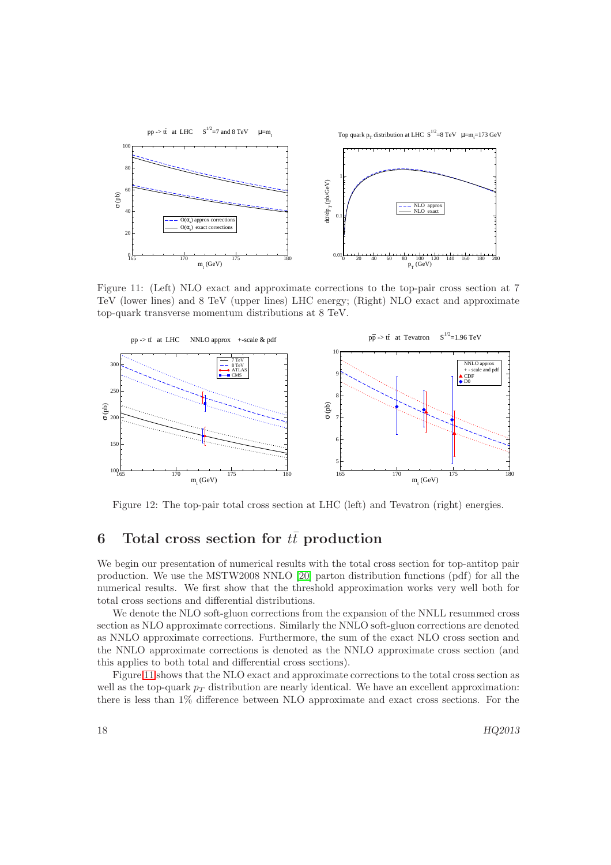

<span id="page-18-0"></span>Figure 11: (Left) NLO exact and approximate corrections to the top-pair cross section at 7 TeV (lower lines) and 8 TeV (upper lines) LHC energy; (Right) NLO exact and approximate top-quark transverse momentum distributions at 8 TeV.



<span id="page-18-1"></span>Figure 12: The top-pair total cross section at LHC (left) and Tevatron (right) energies.

# 6 Total cross section for  $t\bar{t}$  production

We begin our presentation of numerical results with the total cross section for top-antitop pair production. We use the MSTW2008 NNLO [\[20\]](#page-29-7) parton distribution functions (pdf) for all the numerical results. We first show that the threshold approximation works very well both for total cross sections and differential distributions.

We denote the NLO soft-gluon corrections from the expansion of the NNLL resummed cross section as NLO approximate corrections. Similarly the NNLO soft-gluon corrections are denoted as NNLO approximate corrections. Furthermore, the sum of the exact NLO cross section and the NNLO approximate corrections is denoted as the NNLO approximate cross section (and this applies to both total and differential cross sections).

Figure [11](#page-18-0) shows that the NLO exact and approximate corrections to the total cross section as well as the top-quark  $p<sub>T</sub>$  distribution are nearly identical. We have an excellent approximation: there is less than 1% difference between NLO approximate and exact cross sections. For the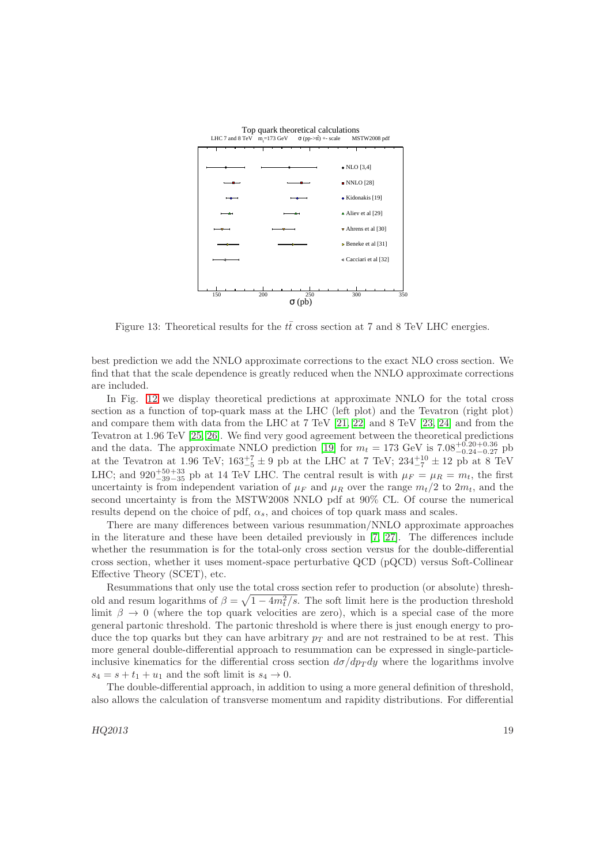

<span id="page-19-0"></span>Figure 13: Theoretical results for the  $t\bar{t}$  cross section at 7 and 8 TeV LHC energies.

best prediction we add the NNLO approximate corrections to the exact NLO cross section. We find that that the scale dependence is greatly reduced when the NNLO approximate corrections are included.

In Fig. [12](#page-18-1) we display theoretical predictions at approximate NNLO for the total cross section as a function of top-quark mass at the LHC (left plot) and the Tevatron (right plot) and compare them with data from the LHC at 7 TeV [\[21,](#page-29-8) [22\]](#page-29-9) and 8 TeV [\[23,](#page-29-10) [24\]](#page-29-11) and from the Tevatron at 1.96 TeV [\[25,](#page-29-12) [26\]](#page-29-13). We find very good agreement between the theoretical predictions and the data. The approximate NNLO prediction [\[19\]](#page-29-6) for  $m_t = 173$  GeV is  $7.08^{+0.20}_{-0.24}$ -0.27 pb at the Tevatron at 1.96 TeV;  $163^{+7}_{-5} \pm 9$  pb at the LHC at 7 TeV;  $234^{+10}_{-7} \pm 12$  pb at 8 TeV LHC; and 920<sup>+50+33</sup> pb at 14 TeV LHC. The central result is with  $\mu_F = \mu_R = m_t$ , the first uncertainty is from independent variation of  $\mu_F$  and  $\mu_R$  over the range  $m_t/2$  to  $2m_t$ , and the second uncertainty is from the MSTW2008 NNLO pdf at 90% CL. Of course the numerical results depend on the choice of pdf,  $\alpha_s$ , and choices of top quark mass and scales.

There are many differences between various resummation/NNLO approximate approaches in the literature and these have been detailed previously in [\[7,](#page-28-6) [27\]](#page-29-14). The differences include whether the resummation is for the total-only cross section versus for the double-differential cross section, whether it uses moment-space perturbative QCD (pQCD) versus Soft-Collinear Effective Theory (SCET), etc.

Resummations that only use the total cross section refer to production (or absolute) threshold and resum logarithms of  $\beta = \sqrt{1 - 4m_t^2/s}$ . The soft limit here is the production threshold limit  $\beta \to 0$  (where the top quark velocities are zero), which is a special case of the more general partonic threshold. The partonic threshold is where there is just enough energy to produce the top quarks but they can have arbitrary  $p_T$  and are not restrained to be at rest. This more general double-differential approach to resummation can be expressed in single-particleinclusive kinematics for the differential cross section  $d\sigma/dp_T dy$  where the logarithms involve  $s_4 = s + t_1 + u_1$  and the soft limit is  $s_4 \rightarrow 0$ .

The double-differential approach, in addition to using a more general definition of threshold, also allows the calculation of transverse momentum and rapidity distributions. For differential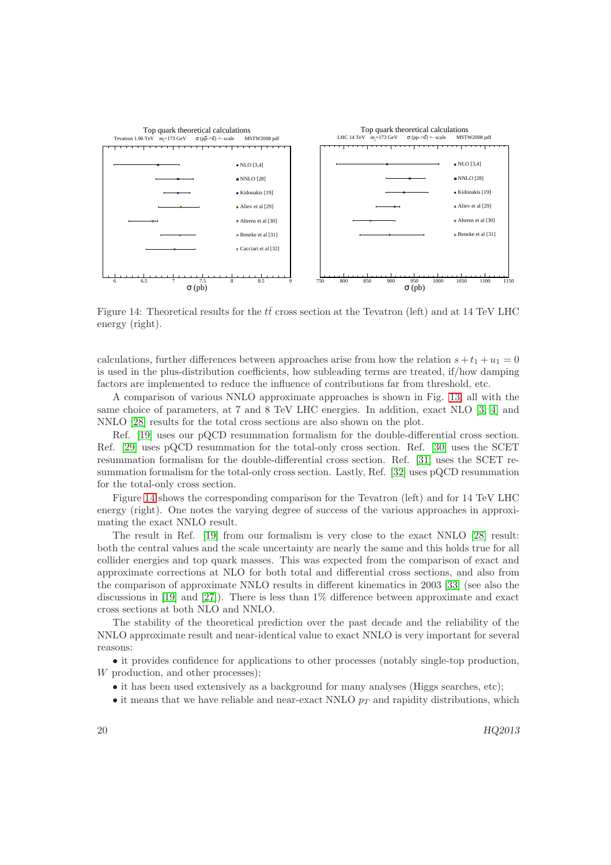

<span id="page-20-0"></span>Figure 14: Theoretical results for the  $t\bar{t}$  cross section at the Tevatron (left) and at 14 TeV LHC energy (right).

calculations, further differences between approaches arise from how the relation  $s + t_1 + u_1 = 0$ is used in the plus-distribution coefficients, how subleading terms are treated, if/how damping factors are implemented to reduce the influence of contributions far from threshold, etc.

A comparison of various NNLO approximate approaches is shown in Fig. [13,](#page-19-0) all with the same choice of parameters, at 7 and 8 TeV LHC energies. In addition, exact NLO [\[3,](#page-28-2) [4\]](#page-28-3) and NNLO [\[28\]](#page-29-15) results for the total cross sections are also shown on the plot.

Ref. [\[19\]](#page-29-6) uses our pQCD resummation formalism for the double-differential cross section. Ref. [\[29\]](#page-29-16) uses pQCD resummation for the total-only cross section. Ref. [\[30\]](#page-29-17) uses the SCET resummation formalism for the double-differential cross section. Ref. [\[31\]](#page-29-18) uses the SCET resummation formalism for the total-only cross section. Lastly, Ref. [\[32\]](#page-29-19) uses pQCD resummation for the total-only cross section.

Figure [14](#page-20-0) shows the corresponding comparison for the Tevatron (left) and for 14 TeV LHC energy (right). One notes the varying degree of success of the various approaches in approximating the exact NNLO result.

The result in Ref. [\[19\]](#page-29-6) from our formalism is very close to the exact NNLO [\[28\]](#page-29-15) result: both the central values and the scale uncertainty are nearly the same and this holds true for all collider energies and top quark masses. This was expected from the comparison of exact and approximate corrections at NLO for both total and differential cross sections, and also from the comparison of approximate NNLO results in different kinematics in 2003 [\[33\]](#page-29-20) (see also the discussions in [\[19\]](#page-29-6) and [\[27\]](#page-29-14)). There is less than  $1\%$  difference between approximate and exact cross sections at both NLO and NNLO.

The stability of the theoretical prediction over the past decade and the reliability of the NNLO approximate result and near-identical value to exact NNLO is very important for several reasons:

• it provides confidence for applications to other processes (notably single-top production, W production, and other processes);

- it has been used extensively as a background for many analyses (Higgs searches, etc);
- it means that we have reliable and near-exact NNLO  $p_T$  and rapidity distributions, which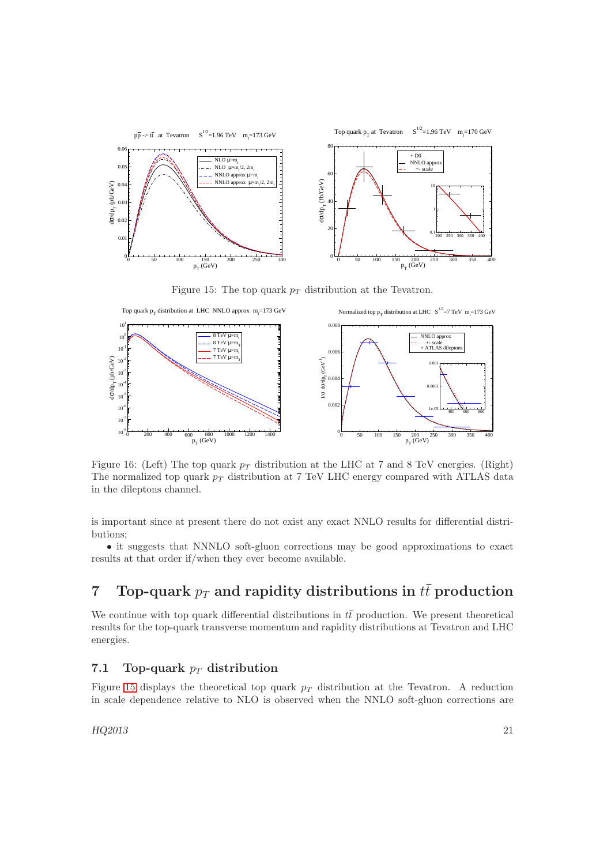

<span id="page-21-0"></span>Figure 15: The top quark  $p_T$  distribution at the Tevatron.



<span id="page-21-1"></span>Figure 16: (Left) The top quark  $p_T$  distribution at the LHC at 7 and 8 TeV energies. (Right) The normalized top quark  $p_T$  distribution at 7 TeV LHC energy compared with ATLAS data in the dileptons channel.

is important since at present there do not exist any exact NNLO results for differential distributions;

• it suggests that NNNLO soft-gluon corrections may be good approximations to exact results at that order if/when they ever become available.

# 7 Top-quark  $p_T$  and rapidity distributions in  $t\bar{t}$  production

We continue with top quark differential distributions in  $t\bar{t}$  production. We present theoretical results for the top-quark transverse momentum and rapidity distributions at Tevatron and LHC energies.

## 7.1 Top-quark  $p_T$  distribution

Figure [15](#page-21-0) displays the theoretical top quark  $p_T$  distribution at the Tevatron. A reduction in scale dependence relative to NLO is observed when the NNLO soft-gluon corrections are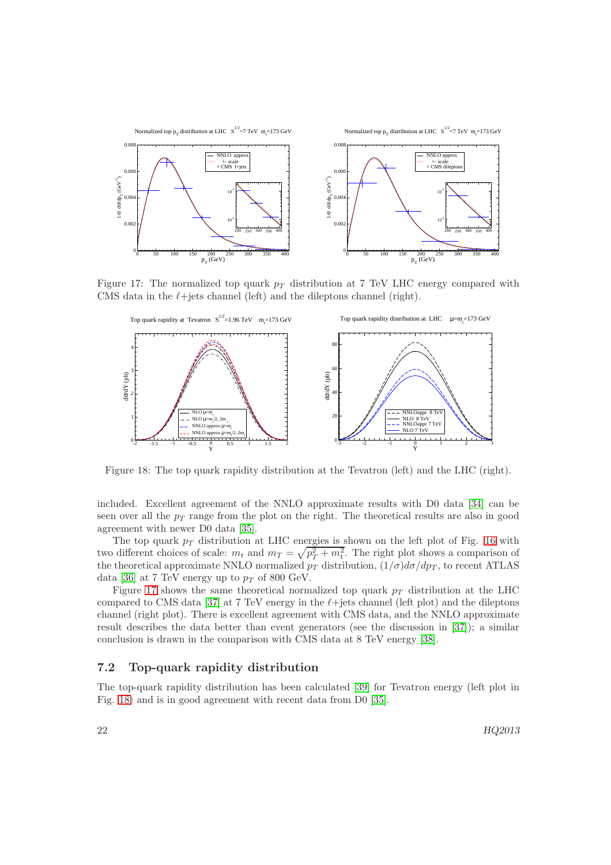

Figure 17: The normalized top quark  $p_T$  distribution at 7 TeV LHC energy compared with CMS data in the  $\ell$ +jets channel (left) and the dileptons channel (right).

<span id="page-22-0"></span>

<span id="page-22-1"></span>Figure 18: The top quark rapidity distribution at the Tevatron (left) and the LHC (right).

included. Excellent agreement of the NNLO approximate results with D0 data [\[34\]](#page-29-21) can be seen over all the  $p_T$  range from the plot on the right. The theoretical results are also in good agreement with newer D0 data [\[35\]](#page-29-22).

The top quark  $p_T$  distribution at LHC energies is shown on the left plot of Fig. [16](#page-21-1) with two different choices of scale:  $m_t$  and  $m_T = \sqrt{p_T^2 + m_t^2}$ . The right plot shows a comparison of the theoretical approximate NNLO normalized  $p_T$  distribution,  $(1/\sigma)d\sigma/dp_T$ , to recent ATLAS data [\[36\]](#page-29-23) at 7 TeV energy up to  $p_T$  of 800 GeV.

Figure [17](#page-22-0) shows the same theoretical normalized top quark  $p_T$  distribution at the LHC compared to CMS data [\[37\]](#page-29-24) at 7 TeV energy in the  $\ell$ +jets channel (left plot) and the dileptons channel (right plot). There is excellent agreement with CMS data, and the NNLO approximate result describes the data better than event generators (see the discussion in [\[37\]](#page-29-24)); a similar conclusion is drawn in the comparison with CMS data at 8 TeV energy [\[38\]](#page-29-25).

### 7.2 Top-quark rapidity distribution

The top-quark rapidity distribution has been calculated [\[39\]](#page-29-26) for Tevatron energy (left plot in Fig. [18\)](#page-22-1) and is in good agreement with recent data from D0 [\[35\]](#page-29-22).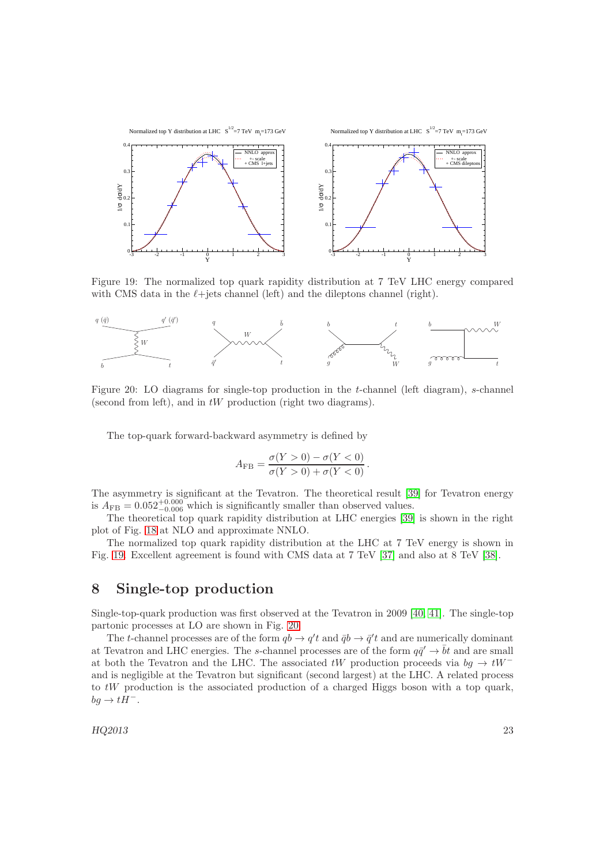

<span id="page-23-0"></span>Figure 19: The normalized top quark rapidity distribution at 7 TeV LHC energy compared with CMS data in the  $\ell$ +jets channel (left) and the dileptons channel (right).



Figure 20: LO diagrams for single-top production in the t-channel (left diagram), s-channel (second from left), and in  $tW$  production (right two diagrams).

<span id="page-23-1"></span>The top-quark forward-backward asymmetry is defined by

$$
A_{\rm FB} = \frac{\sigma(Y > 0) - \sigma(Y < 0)}{\sigma(Y > 0) + \sigma(Y < 0)}.
$$

The asymmetry is significant at the Tevatron. The theoretical result [\[39\]](#page-29-26) for Tevatron energy is  $A_{\text{FB}} = 0.052^{+0.000}_{-0.006}$  which is significantly smaller than observed values.

The theoretical top quark rapidity distribution at LHC energies [\[39\]](#page-29-26) is shown in the right plot of Fig. [18](#page-22-1) at NLO and approximate NNLO.

The normalized top quark rapidity distribution at the LHC at 7 TeV energy is shown in Fig. [19.](#page-23-0) Excellent agreement is found with CMS data at 7 TeV [\[37\]](#page-29-24) and also at 8 TeV [\[38\]](#page-29-25).

## 8 Single-top production

Single-top-quark production was first observed at the Tevatron in 2009 [\[40,](#page-29-27) [41\]](#page-29-28). The single-top partonic processes at LO are shown in Fig. [20.](#page-23-1)

The t-channel processes are of the form  $q b \to q' t$  and  $\bar{q} b \to \bar{q}' t$  and are numerically dominant at Tevatron and LHC energies. The s-channel processes are of the form  $q\bar{q}' \to \bar{b}t$  and are small at both the Tevatron and the LHC. The associated  $tW$  production proceeds via  $bg \rightarrow tW^$ and is negligible at the Tevatron but significant (second largest) at the LHC. A related process to tW production is the associated production of a charged Higgs boson with a top quark,  $bg \rightarrow tH^-$ .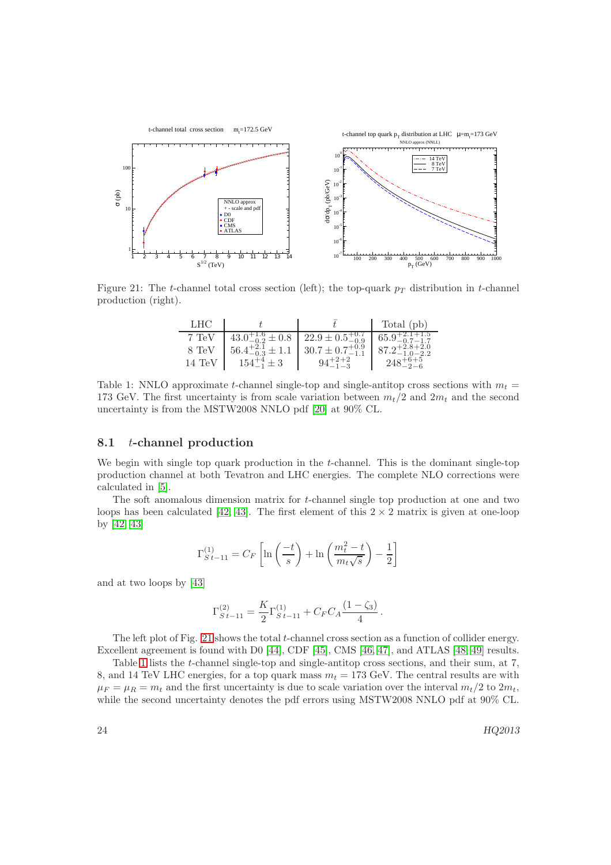

Figure 21: The t-channel total cross section (left); the top-quark  $p<sub>T</sub>$  distribution in t-channel production (right).

<span id="page-24-0"></span>

| LHC    |                                                           |                                                                     | Total (pb)                   |
|--------|-----------------------------------------------------------|---------------------------------------------------------------------|------------------------------|
| 7 TeV  |                                                           | $43.0^{+1.6}_{-0.2} \pm 0.8$ $\mid$ 22.9 $\pm$ 0.5 $^{+0.7}_{-0.9}$ | $65.9_{-0.7-1.7}^{+2.1+1.5}$ |
| 8 TeV  | $56.4^{+2.1}_{-0.3} \pm 1.1$ $30.7 \pm 0.7^{+0.9}_{-1.1}$ |                                                                     | $87.2^{+2.8+2.0}_{-1.0}$     |
| 14 TeV | $154^{+4}_{-1} \pm 3$                                     | $94^{+2+2}_{-1-3}$                                                  | $248^{+6+5}_{-2-6}$          |

<span id="page-24-1"></span>Table 1: NNLO approximate t-channel single-top and single-antitop cross sections with  $m_t =$ 173 GeV. The first uncertainty is from scale variation between  $m_t/2$  and  $2m_t$  and the second uncertainty is from the MSTW2008 NNLO pdf [\[20\]](#page-29-7) at 90% CL.

#### 8.1 t-channel production

We begin with single top quark production in the t-channel. This is the dominant single-top production channel at both Tevatron and LHC energies. The complete NLO corrections were calculated in [\[5\]](#page-28-4).

The soft anomalous dimension matrix for t-channel single top production at one and two loops has been calculated [\[42,](#page-29-29) [43\]](#page-29-30). The first element of this  $2 \times 2$  matrix is given at one-loop by [\[42,](#page-29-29) [43\]](#page-29-30)

$$
\Gamma_{S\,t-1\,1}^{(1)}=C_F\left[\ln\left(\frac{-t}{s}\right)+\ln\left(\frac{m_t^2-t}{m_t\sqrt{s}}\right)-\frac{1}{2}\right]
$$

and at two loops by [\[43\]](#page-29-30)

$$
\Gamma_{S\,t-11}^{(2)} = \frac{K}{2} \Gamma_{S\,t-11}^{(1)} + C_F C_A \frac{(1-\zeta_3)}{4}.
$$

The left plot of Fig. [21](#page-24-0) shows the total t-channel cross section as a function of collider energy. Excellent agreement is found with D0 [\[44\]](#page-29-31), CDF [\[45\]](#page-29-32), CMS [\[46,](#page-29-33) [47\]](#page-29-34), and ATLAS [\[48,](#page-29-35) [49\]](#page-30-0) results.

Table [1](#page-24-1) lists the t-channel single-top and single-antitop cross sections, and their sum, at 7, 8, and 14 TeV LHC energies, for a top quark mass  $m_t = 173$  GeV. The central results are with  $\mu_F = \mu_R = m_t$  and the first uncertainty is due to scale variation over the interval  $m_t/2$  to  $2m_t$ , while the second uncertainty denotes the pdf errors using MSTW2008 NNLO pdf at 90% CL.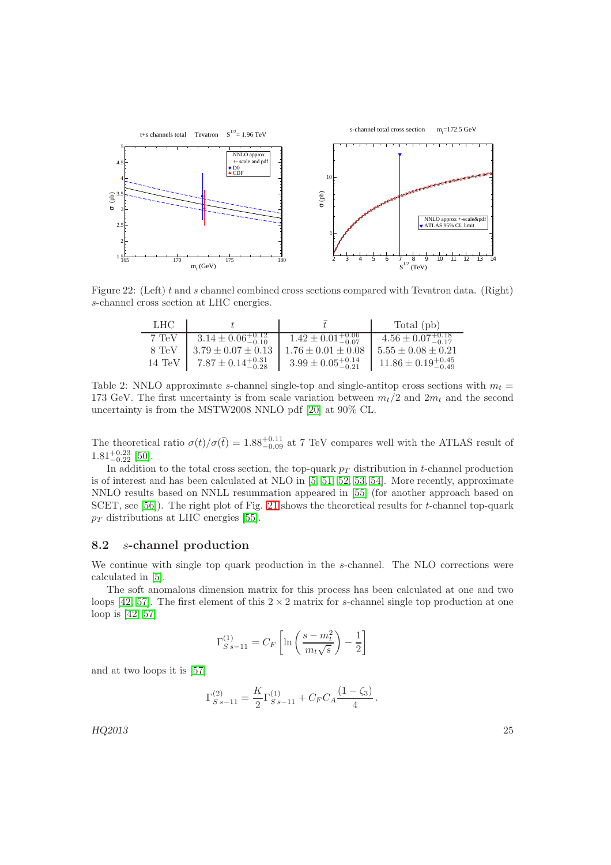

Figure 22: (Left) t and s channel combined cross sections compared with Tevatron data. (Right) s-channel cross section at LHC energies.

<span id="page-25-1"></span>

| LHC   |                                                                                             |                                 | Total (pb)                       |
|-------|---------------------------------------------------------------------------------------------|---------------------------------|----------------------------------|
| 7 TeV | $3.14 \pm 0.06_{-0.10}^{+0.12}$                                                             | $1.42 \pm 0.01^{+0.06}_{-0.07}$ | $4.56 \pm 0.07^{+0.18}_{-0.17}$  |
| 8 TeV | $3.79 \pm 0.07 \pm 0.13$                                                                    | $1.76 \pm 0.01 \pm 0.08$        | $5.55 \pm 0.08 \pm 0.21$         |
|       | 14 TeV $\begin{array}{ c c c c c } \hline 7.87 \pm 0.14_{-0.28}^{+0.31} \hline \end{array}$ | $3.99 \pm 0.05_{-0.21}^{+0.14}$ | $11.86 \pm 0.19_{-0.49}^{+0.45}$ |

<span id="page-25-0"></span>Table 2: NNLO approximate s-channel single-top and single-antitop cross sections with  $m_t =$ 173 GeV. The first uncertainty is from scale variation between  $m_t/2$  and  $2m_t$  and the second uncertainty is from the MSTW2008 NNLO pdf [\[20\]](#page-29-7) at 90% CL.

The theoretical ratio  $\sigma(t)/\sigma(\bar{t}) = 1.88^{+0.11}_{-0.09}$  at 7 TeV compares well with the ATLAS result of  $1.81^{+0.23}_{-0.22}$  [\[50\]](#page-30-1).

In addition to the total cross section, the top-quark  $p<sub>T</sub>$  distribution in t-channel production is of interest and has been calculated at NLO in [\[5,](#page-28-4) [51,](#page-30-2) [52,](#page-30-3) [53,](#page-30-4) [54\]](#page-30-5). More recently, approximate NNLO results based on NNLL resummation appeared in [\[55\]](#page-30-6) (for another approach based on SCET, see [\[56\]](#page-30-7)). The right plot of Fig. [21](#page-24-0) shows the theoretical results for t-channel top-quark  $p_T$  distributions at LHC energies [\[55\]](#page-30-6).

### 8.2 s-channel production

We continue with single top quark production in the s-channel. The NLO corrections were calculated in [\[5\]](#page-28-4).

The soft anomalous dimension matrix for this process has been calculated at one and two loops [\[42,](#page-29-29) [57\]](#page-30-8). The first element of this  $2 \times 2$  matrix for s-channel single top production at one loop is [\[42,](#page-29-29) [57\]](#page-30-8)

$$
\Gamma_{S\,s-11}^{(1)} = C_F \left[ \ln \left( \frac{s - m_t^2}{m_t \sqrt{s}} \right) - \frac{1}{2} \right]
$$

and at two loops it is [\[57\]](#page-30-8)

$$
\Gamma_{S\,s-11}^{(2)} = \frac{K}{2} \Gamma_{S\,s-11}^{(1)} + C_F C_A \frac{(1-\zeta_3)}{4}.
$$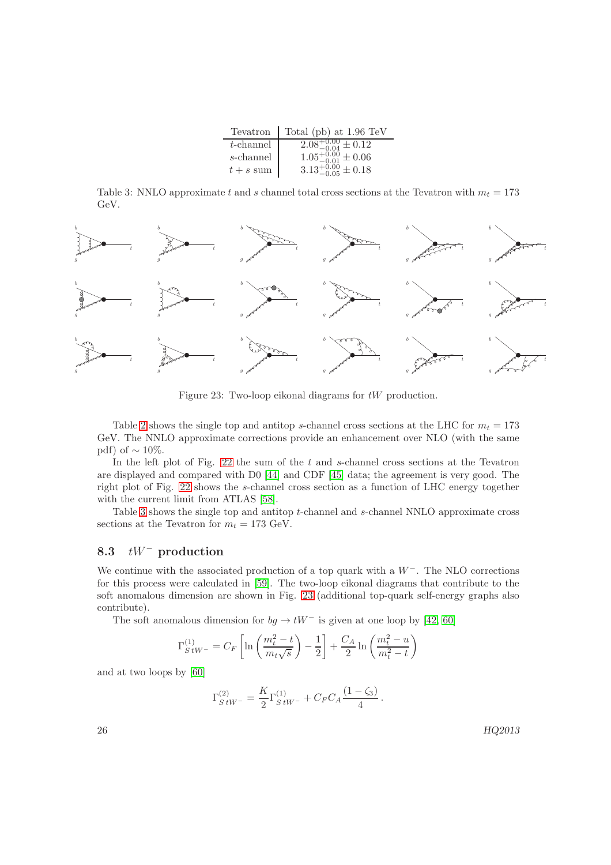| Tevatron     | Total (pb) at $1.96 \text{ TeV}$        |
|--------------|-----------------------------------------|
| $t$ -channel | $2.08^{+0.00}_{-0.04} \pm 0.12$         |
| s-channel    | $1.05_{-0.01}^{+0.00}_{-0.01} \pm 0.06$ |
| $t + s$ sum  | $3.13^{+0.00}_{-0.05} \pm 0.18$         |

<span id="page-26-0"></span>Table 3: NNLO approximate t and s channel total cross sections at the Tevatron with  $m_t = 173$ GeV.



<span id="page-26-1"></span>Figure 23: Two-loop eikonal diagrams for tW production.

Table [2](#page-25-0) shows the single top and antitop s-channel cross sections at the LHC for  $m_t = 173$ GeV. The NNLO approximate corrections provide an enhancement over NLO (with the same pdf) of  $\sim 10\%$ .

In the left plot of Fig. [22](#page-25-1) the sum of the t and s-channel cross sections at the Tevatron are displayed and compared with D0 [\[44\]](#page-29-31) and CDF [\[45\]](#page-29-32) data; the agreement is very good. The right plot of Fig. [22](#page-25-1) shows the s-channel cross section as a function of LHC energy together with the current limit from ATLAS [\[58\]](#page-30-9).

Table [3](#page-26-0) shows the single top and antitop t-channel and s-channel NNLO approximate cross sections at the Tevatron for  $m_t = 173$  GeV.

### 8.3  $tW^-$  production

We continue with the associated production of a top quark with a  $W^-$ . The NLO corrections for this process were calculated in [\[59\]](#page-30-10). The two-loop eikonal diagrams that contribute to the soft anomalous dimension are shown in Fig. [23](#page-26-1) (additional top-quark self-energy graphs also contribute).

The soft anomalous dimension for  $bg \to tW^-$  is given at one loop by [\[42,](#page-29-29) [60\]](#page-30-11)

$$
\Gamma_{S\,tW^-}^{(1)} = C_F \left[ \ln \left( \frac{m_t^2 - t}{m_t \sqrt{s}} \right) - \frac{1}{2} \right] + \frac{C_A}{2} \ln \left( \frac{m_t^2 - u}{m_t^2 - t} \right)
$$

and at two loops by [\[60\]](#page-30-11)

$$
\Gamma_{S\,tW^-}^{(2)} = \frac{K}{2} \Gamma_{S\,tW^-}^{(1)} + C_F C_A \frac{(1-\zeta_3)}{4}.
$$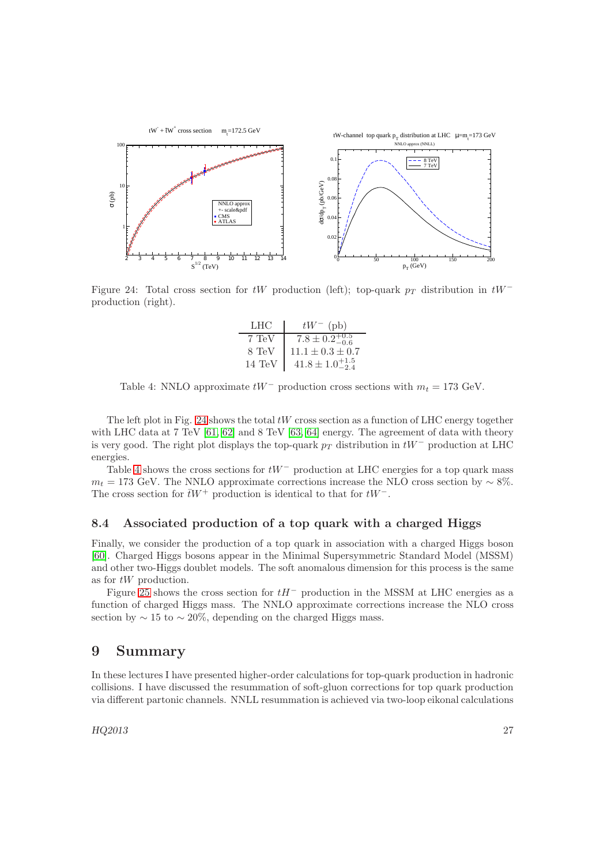

<span id="page-27-0"></span>Figure 24: Total cross section for tW production (left); top-quark  $p_T$  distribution in tW<sup>-</sup> production (right).

| LHC              | $tW^-$ (pb)                  |
|------------------|------------------------------|
| 7 TeV            | $7.8 \pm 0.2^{+0.5}_{-0.6}$  |
| 8 TeV            | $11.1 \pm 0.3 \pm 0.7$       |
| $14 \text{ TeV}$ | $41.8 \pm 1.0^{+1.5}_{-2.4}$ |

<span id="page-27-1"></span>Table 4: NNLO approximate  $tW^-$  production cross sections with  $m_t = 173$  GeV.

The left plot in Fig. [24](#page-27-0) shows the total  $tW$  cross section as a function of LHC energy together with LHC data at 7 TeV [\[61,](#page-30-12) [62\]](#page-30-13) and 8 TeV [\[63,](#page-30-14) [64\]](#page-30-15) energy. The agreement of data with theory is very good. The right plot displays the top-quark  $p_T$  distribution in  $tW^-$  production at LHC energies.

Table [4](#page-27-1) shows the cross sections for  $tW^-$  production at LHC energies for a top quark mass  $m_t = 173$  GeV. The NNLO approximate corrections increase the NLO cross section by  $\sim 8\%$ . The cross section for  $\bar{t}W^+$  production is identical to that for  $tW^-$ .

#### 8.4 Associated production of a top quark with a charged Higgs

Finally, we consider the production of a top quark in association with a charged Higgs boson [\[60\]](#page-30-11). Charged Higgs bosons appear in the Minimal Supersymmetric Standard Model (MSSM) and other two-Higgs doublet models. The soft anomalous dimension for this process is the same as for tW production.

Figure [25](#page-28-12) shows the cross section for  $tH^-$  production in the MSSM at LHC energies as a function of charged Higgs mass. The NNLO approximate corrections increase the NLO cross section by  $\sim 15$  to  $\sim 20\%$ , depending on the charged Higgs mass.

## 9 Summary

In these lectures I have presented higher-order calculations for top-quark production in hadronic collisions. I have discussed the resummation of soft-gluon corrections for top quark production via different partonic channels. NNLL resummation is achieved via two-loop eikonal calculations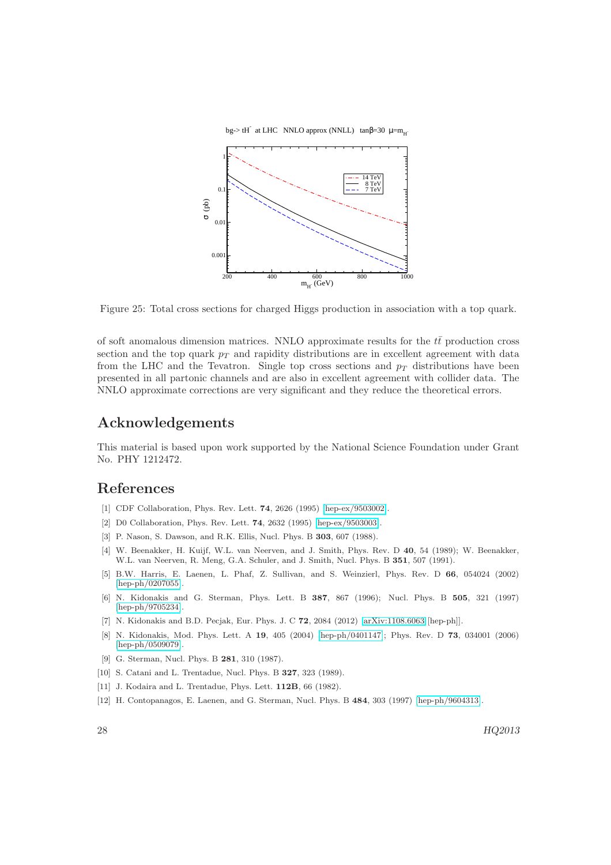bg-> tH<sup>-</sup> at LHC NNLO approx (NNLL) tan $\beta$ =30  $\mu$ =m<sub>H</sub><sup>-</sup>



<span id="page-28-12"></span>Figure 25: Total cross sections for charged Higgs production in association with a top quark.

of soft anomalous dimension matrices. NNLO approximate results for the  $t\bar{t}$  production cross section and the top quark  $p<sub>T</sub>$  and rapidity distributions are in excellent agreement with data from the LHC and the Tevatron. Single top cross sections and  $p_T$  distributions have been presented in all partonic channels and are also in excellent agreement with collider data. The NNLO approximate corrections are very significant and they reduce the theoretical errors.

# Acknowledgements

This material is based upon work supported by the National Science Foundation under Grant No. PHY 1212472.

## <span id="page-28-0"></span>References

- <span id="page-28-1"></span>[1] CDF Collaboration, Phys. Rev. Lett. **74**, 2626 (1995) [\[hep-ex/9503002\]](http://arxiv.org/abs/hep-ex/9503002).
- <span id="page-28-2"></span>[2] D0 Collaboration, Phys. Rev. Lett. **74**, 2632 (1995) [\[hep-ex/9503003\]](http://arxiv.org/abs/hep-ex/9503003).
- <span id="page-28-3"></span>[3] P. Nason, S. Dawson, and R.K. Ellis, Nucl. Phys. B **303**, 607 (1988).
- [4] W. Beenakker, H. Kuijf, W.L. van Neerven, and J. Smith, Phys. Rev. D 40, 54 (1989); W. Beenakker, W.L. van Neerven, R. Meng, G.A. Schuler, and J. Smith, Nucl. Phys. B 351, 507 (1991).
- <span id="page-28-4"></span>[5] B.W. Harris, E. Laenen, L. Phaf, Z. Sullivan, and S. Weinzierl, Phys. Rev. D 66, 054024 (2002) [\[hep-ph/0207055\]](http://arxiv.org/abs/hep-ph/0207055).
- <span id="page-28-5"></span>[6] N. Kidonakis and G. Sterman, Phys. Lett. B 387, 867 (1996); Nucl. Phys. B 505, 321 (1997) [\[hep-ph/9705234\]](http://arxiv.org/abs/hep-ph/9705234).
- <span id="page-28-7"></span><span id="page-28-6"></span>[7] N. Kidonakis and B.D. Pecjak, Eur. Phys. J. C 72, 2084 (2012) [\[arXiv:1108.6063](http://arxiv.org/abs/1108.6063) [hep-ph]].
- [8] N. Kidonakis, Mod. Phys. Lett. A 19, 405 (2004) [\[hep-ph/0401147\]](http://arxiv.org/abs/hep-ph/0401147); Phys. Rev. D 73, 034001 (2006) [\[hep-ph/0509079\]](http://arxiv.org/abs/hep-ph/0509079).
- <span id="page-28-9"></span><span id="page-28-8"></span>[9] G. Sterman, Nucl. Phys. B 281, 310 (1987).
- <span id="page-28-10"></span>[10] S. Catani and L. Trentadue, Nucl. Phys. B 327, 323 (1989).
- <span id="page-28-11"></span>[11] J. Kodaira and L. Trentadue, Phys. Lett. **112B**, 66 (1982).
- [12] H. Contopanagos, E. Laenen, and G. Sterman, Nucl. Phys. B 484, 303 (1997) [\[hep-ph/9604313\]](http://arxiv.org/abs/hep-ph/9604313).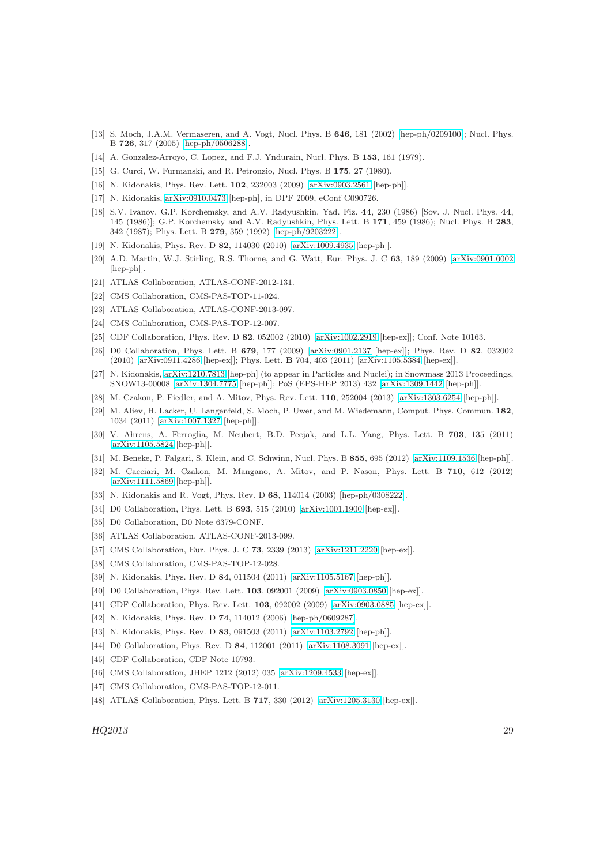- <span id="page-29-0"></span>[13] S. Moch, J.A.M. Vermaseren, and A. Vogt, Nucl. Phys. B 646, 181 (2002) [\[hep-ph/0209100\]](http://arxiv.org/abs/hep-ph/0209100); Nucl. Phys. B 726, 317 (2005) [\[hep-ph/0506288\]](http://arxiv.org/abs/hep-ph/0506288).
- <span id="page-29-2"></span><span id="page-29-1"></span>[14] A. Gonzalez-Arroyo, C. Lopez, and F.J. Yndurain, Nucl. Phys. B 153, 161 (1979).
- <span id="page-29-3"></span>[15] G. Curci, W. Furmanski, and R. Petronzio, Nucl. Phys. B 175, 27 (1980).
- <span id="page-29-4"></span>[16] N. Kidonakis, Phys. Rev. Lett. **102**, 232003 (2009) [\[arXiv:0903.2561](http://arxiv.org/abs/0903.2561) [hep-ph]].
- <span id="page-29-5"></span>[17] N. Kidonakis, [arXiv:0910.0473](http://arxiv.org/abs/0910.0473) [hep-ph], in DPF 2009, eConf C090726.
- [18] S.V. Ivanov, G.P. Korchemsky, and A.V. Radyushkin, Yad. Fiz. 44, 230 (1986) [Sov. J. Nucl. Phys. 44, 145 (1986)]; G.P. Korchemsky and A.V. Radyushkin, Phys. Lett. B 171, 459 (1986); Nucl. Phys. B 283, 342 (1987); Phys. Lett. B 279, 359 (1992) [\[hep-ph/9203222\]](http://arxiv.org/abs/hep-ph/9203222).
- <span id="page-29-7"></span><span id="page-29-6"></span>[19] N. Kidonakis, Phys. Rev. D 82, 114030 (2010) [\[arXiv:1009.4935](http://arxiv.org/abs/1009.4935) [hep-ph]].
- [20] A.D. Martin, W.J. Stirling, R.S. Thorne, and G. Watt, Eur. Phys. J. C 63, 189 (2009) [\[arXiv:0901.0002](http://arxiv.org/abs/0901.0002) [hep-ph]].
- <span id="page-29-9"></span><span id="page-29-8"></span>[21] ATLAS Collaboration, ATLAS-CONF-2012-131.
- <span id="page-29-10"></span>[22] CMS Collaboration, CMS-PAS-TOP-11-024.
- <span id="page-29-11"></span>[23] ATLAS Collaboration, ATLAS-CONF-2013-097.
- <span id="page-29-12"></span>[24] CMS Collaboration, CMS-PAS-TOP-12-007.
- <span id="page-29-13"></span>[25] CDF Collaboration, Phys. Rev. D 82, 052002 (2010) [\[arXiv:1002.2919](http://arxiv.org/abs/1002.2919) [hep-ex]]; Conf. Note 10163.
- [26] D0 Collaboration, Phys. Lett. B 679, 177 (2009) [\[arXiv:0901.2137](http://arxiv.org/abs/0901.2137) [hep-ex]]; Phys. Rev. D 82, 032002 (2010) [\[arXiv:0911.4286](http://arxiv.org/abs/0911.4286) [hep-ex]]; Phys. Lett. B 704, 403 (2011) [\[arXiv:1105.5384](http://arxiv.org/abs/1105.5384) [hep-ex]].
- <span id="page-29-14"></span>[27] N. Kidonakis, [arXiv:1210.7813](http://arxiv.org/abs/1210.7813) [hep-ph] (to appear in Particles and Nuclei); in Snowmass 2013 Proceedings, SNOW13-00008 [\[arXiv:1304.7775](http://arxiv.org/abs/1304.7775) [hep-ph]]; PoS (EPS-HEP 2013) 432 [\[arXiv:1309.1442](http://arxiv.org/abs/1309.1442) [hep-ph]].
- <span id="page-29-16"></span><span id="page-29-15"></span>[28] M. Czakon, P. Fiedler, and A. Mitov, Phys. Rev. Lett. 110, 252004 (2013) [\[arXiv:1303.6254](http://arxiv.org/abs/1303.6254) [hep-ph]].
- [29] M. Aliev, H. Lacker, U. Langenfeld, S. Moch, P. Uwer, and M. Wiedemann, Comput. Phys. Commun. 182, 1034 (2011) [\[arXiv:1007.1327](http://arxiv.org/abs/1007.1327) [hep-ph]].
- <span id="page-29-17"></span>[30] V. Ahrens, A. Ferroglia, M. Neubert, B.D. Pecjak, and L.L. Yang, Phys. Lett. B 703, 135 (2011) [\[arXiv:1105.5824](http://arxiv.org/abs/1105.5824) [hep-ph]].
- <span id="page-29-19"></span><span id="page-29-18"></span>[31] M. Beneke, P. Falgari, S. Klein, and C. Schwinn, Nucl. Phys. B 855, 695 (2012) [\[arXiv:1109.1536](http://arxiv.org/abs/1109.1536) [hep-ph]].
- [32] M. Cacciari, M. Czakon, M. Mangano, A. Mitov, and P. Nason, Phys. Lett. B 710, 612 (2012) [\[arXiv:1111.5869](http://arxiv.org/abs/1111.5869) [hep-ph]].
- <span id="page-29-21"></span><span id="page-29-20"></span>[33] N. Kidonakis and R. Vogt, Phys. Rev. D 68, 114014 (2003) [\[hep-ph/0308222\]](http://arxiv.org/abs/hep-ph/0308222).
- <span id="page-29-22"></span>[34] D0 Collaboration, Phys. Lett. B 693, 515 (2010) [\[arXiv:1001.1900](http://arxiv.org/abs/1001.1900) [hep-ex]].
- <span id="page-29-23"></span>[35] D0 Collaboration, D0 Note 6379-CONF.
- <span id="page-29-24"></span>[36] ATLAS Collaboration, ATLAS-CONF-2013-099.
- <span id="page-29-25"></span>[37] CMS Collaboration, Eur. Phys. J. C **73**, 2339 (2013) [\[arXiv:1211.2220](http://arxiv.org/abs/1211.2220) [hep-ex]].
- <span id="page-29-26"></span>[38] CMS Collaboration, CMS-PAS-TOP-12-028.
- <span id="page-29-27"></span>[39] N. Kidonakis, Phys. Rev. D 84, 011504 (2011) [\[arXiv:1105.5167](http://arxiv.org/abs/1105.5167) [hep-ph]].
- <span id="page-29-28"></span>[40] D0 Collaboration, Phys. Rev. Lett. **103**, 092001 (2009) [\[arXiv:0903.0850](http://arxiv.org/abs/0903.0850) [hep-ex]].
- <span id="page-29-29"></span>[41] CDF Collaboration, Phys. Rev. Lett. **103**, 092002 (2009) [\[arXiv:0903.0885](http://arxiv.org/abs/0903.0885) [hep-ex]].
- <span id="page-29-30"></span>[42] N. Kidonakis, Phys. Rev. D **74**, 114012 (2006) [\[hep-ph/0609287\]](http://arxiv.org/abs/hep-ph/0609287).
- <span id="page-29-31"></span>[43] N. Kidonakis, Phys. Rev. D 83, 091503 (2011) [\[arXiv:1103.2792](http://arxiv.org/abs/1103.2792) [hep-ph]].
- <span id="page-29-32"></span>[44] D0 Collaboration, Phys. Rev. D 84, 112001 (2011) [\[arXiv:1108.3091](http://arxiv.org/abs/1108.3091) [hep-ex]].
- <span id="page-29-33"></span>[45] CDF Collaboration, CDF Note 10793.
- <span id="page-29-34"></span>[46] CMS Collaboration, JHEP 1212 (2012) 035 [\[arXiv:1209.4533](http://arxiv.org/abs/1209.4533) [hep-ex]].
- <span id="page-29-35"></span>[47] CMS Collaboration, CMS-PAS-TOP-12-011.
- [48] ATLAS Collaboration, Phys. Lett. B **717**, 330 (2012) [\[arXiv:1205.3130](http://arxiv.org/abs/1205.3130) [hep-ex]].